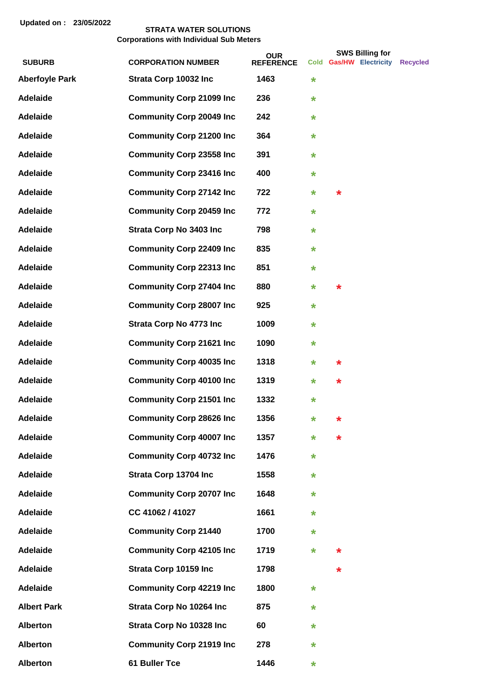|                       |                                  | <b>OUR</b>       |         |         | <b>SWS Billing for</b>  |                 |
|-----------------------|----------------------------------|------------------|---------|---------|-------------------------|-----------------|
| <b>SUBURB</b>         | <b>CORPORATION NUMBER</b>        | <b>REFERENCE</b> |         |         | Cold Gas/HW Electricity | <b>Recycled</b> |
| <b>Aberfoyle Park</b> | Strata Corp 10032 Inc            | 1463             | $\star$ |         |                         |                 |
| <b>Adelaide</b>       | <b>Community Corp 21099 Inc</b>  | 236              | $\star$ |         |                         |                 |
| <b>Adelaide</b>       | <b>Community Corp 20049 Inc</b>  | 242              | $\star$ |         |                         |                 |
| <b>Adelaide</b>       | <b>Community Corp 21200 Inc</b>  | 364              | *       |         |                         |                 |
| <b>Adelaide</b>       | <b>Community Corp 23558 Inc</b>  | 391              | $\star$ |         |                         |                 |
| <b>Adelaide</b>       | <b>Community Corp 23416 Inc</b>  | 400              | $\star$ |         |                         |                 |
| <b>Adelaide</b>       | <b>Community Corp 27142 Inc</b>  | 722              | $\star$ | $\star$ |                         |                 |
| <b>Adelaide</b>       | <b>Community Corp 20459 Inc</b>  | 772              | $\star$ |         |                         |                 |
| <b>Adelaide</b>       | <b>Strata Corp No 3403 Inc</b>   | 798              | $\star$ |         |                         |                 |
| <b>Adelaide</b>       | <b>Community Corp 22409 Inc</b>  | 835              | $\star$ |         |                         |                 |
| <b>Adelaide</b>       | <b>Community Corp 22313 Inc</b>  | 851              | *       |         |                         |                 |
| <b>Adelaide</b>       | <b>Community Corp 27404 Inc</b>  | 880              | *       | $\star$ |                         |                 |
| <b>Adelaide</b>       | <b>Community Corp 28007 Inc</b>  | 925              | *       |         |                         |                 |
| <b>Adelaide</b>       | <b>Strata Corp No 4773 Inc</b>   | 1009             | $\star$ |         |                         |                 |
| <b>Adelaide</b>       | <b>Community Corp 21621 Inc.</b> | 1090             | $\star$ |         |                         |                 |
| <b>Adelaide</b>       | <b>Community Corp 40035 Inc</b>  | 1318             | $\star$ | $\star$ |                         |                 |
| <b>Adelaide</b>       | <b>Community Corp 40100 Inc</b>  | 1319             | $\star$ | $\star$ |                         |                 |
| <b>Adelaide</b>       | <b>Community Corp 21501 Inc</b>  | 1332             | $\star$ |         |                         |                 |
| <b>Adelaide</b>       | <b>Community Corp 28626 Inc</b>  | 1356             | $\star$ | $\star$ |                         |                 |
| <b>Adelaide</b>       | <b>Community Corp 40007 Inc</b>  | 1357             | *       | *       |                         |                 |
| <b>Adelaide</b>       | <b>Community Corp 40732 Inc</b>  | 1476             | *       |         |                         |                 |
| <b>Adelaide</b>       | Strata Corp 13704 Inc            | 1558             | *       |         |                         |                 |
| <b>Adelaide</b>       | <b>Community Corp 20707 Inc</b>  | 1648             | $\star$ |         |                         |                 |
| <b>Adelaide</b>       | CC 41062 / 41027                 | 1661             | *       |         |                         |                 |
| <b>Adelaide</b>       | <b>Community Corp 21440</b>      | 1700             | *       |         |                         |                 |
| <b>Adelaide</b>       | <b>Community Corp 42105 Inc</b>  | 1719             | $\star$ | *       |                         |                 |
| <b>Adelaide</b>       | Strata Corp 10159 Inc            | 1798             |         | *       |                         |                 |
| <b>Adelaide</b>       | <b>Community Corp 42219 Inc</b>  | 1800             | $\star$ |         |                         |                 |
| <b>Albert Park</b>    | Strata Corp No 10264 Inc         | 875              | $\star$ |         |                         |                 |
| <b>Alberton</b>       | Strata Corp No 10328 Inc         | 60               | *       |         |                         |                 |
| <b>Alberton</b>       | <b>Community Corp 21919 Inc</b>  | 278              | *       |         |                         |                 |
| <b>Alberton</b>       | 61 Buller Tce                    | 1446             | *       |         |                         |                 |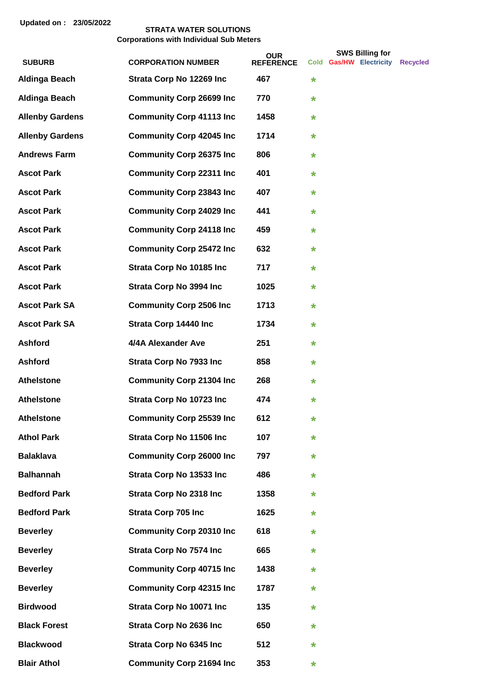|                        |                                  | <b>OUR</b>       |         | <b>SWS Billing for</b>  |                 |
|------------------------|----------------------------------|------------------|---------|-------------------------|-----------------|
| <b>SUBURB</b>          | <b>CORPORATION NUMBER</b>        | <b>REFERENCE</b> |         | Cold Gas/HW Electricity | <b>Recycled</b> |
| <b>Aldinga Beach</b>   | Strata Corp No 12269 Inc         | 467              | $\star$ |                         |                 |
| <b>Aldinga Beach</b>   | <b>Community Corp 26699 Inc</b>  | 770              | $\star$ |                         |                 |
| <b>Allenby Gardens</b> | <b>Community Corp 41113 Inc</b>  | 1458             | $\star$ |                         |                 |
| <b>Allenby Gardens</b> | <b>Community Corp 42045 Inc</b>  | 1714             | $\star$ |                         |                 |
| <b>Andrews Farm</b>    | <b>Community Corp 26375 Inc</b>  | 806              | $\star$ |                         |                 |
| <b>Ascot Park</b>      | <b>Community Corp 22311 Inc</b>  | 401              | $\star$ |                         |                 |
| <b>Ascot Park</b>      | <b>Community Corp 23843 Inc.</b> | 407              | $\star$ |                         |                 |
| <b>Ascot Park</b>      | <b>Community Corp 24029 Inc</b>  | 441              | $\star$ |                         |                 |
| <b>Ascot Park</b>      | <b>Community Corp 24118 Inc</b>  | 459              | $\star$ |                         |                 |
| <b>Ascot Park</b>      | <b>Community Corp 25472 Inc</b>  | 632              | $\star$ |                         |                 |
| <b>Ascot Park</b>      | Strata Corp No 10185 Inc         | 717              | $\star$ |                         |                 |
| <b>Ascot Park</b>      | <b>Strata Corp No 3994 Inc</b>   | 1025             | $\star$ |                         |                 |
| <b>Ascot Park SA</b>   | <b>Community Corp 2506 Inc</b>   | 1713             | $\star$ |                         |                 |
| <b>Ascot Park SA</b>   | Strata Corp 14440 Inc            | 1734             | $\star$ |                         |                 |
| <b>Ashford</b>         | 4/4A Alexander Ave               | 251              | $\star$ |                         |                 |
| <b>Ashford</b>         | <b>Strata Corp No 7933 Inc</b>   | 858              | $\star$ |                         |                 |
| <b>Athelstone</b>      | <b>Community Corp 21304 Inc</b>  | 268              | $\star$ |                         |                 |
| <b>Athelstone</b>      | Strata Corp No 10723 Inc         | 474              | $\star$ |                         |                 |
| <b>Athelstone</b>      | <b>Community Corp 25539 Inc</b>  | 612              | $\star$ |                         |                 |
| <b>Athol Park</b>      | Strata Corp No 11506 Inc         | 107              | $\star$ |                         |                 |
| <b>Balaklava</b>       | <b>Community Corp 26000 Inc</b>  | 797              | $\star$ |                         |                 |
| <b>Balhannah</b>       | Strata Corp No 13533 Inc         | 486              | $\star$ |                         |                 |
| <b>Bedford Park</b>    | <b>Strata Corp No 2318 Inc</b>   | 1358             | $\star$ |                         |                 |
| <b>Bedford Park</b>    | <b>Strata Corp 705 Inc</b>       | 1625             | $\star$ |                         |                 |
| <b>Beverley</b>        | <b>Community Corp 20310 Inc</b>  | 618              | $\star$ |                         |                 |
| <b>Beverley</b>        | <b>Strata Corp No 7574 Inc</b>   | 665              | $\star$ |                         |                 |
| <b>Beverley</b>        | <b>Community Corp 40715 Inc</b>  | 1438             | $\star$ |                         |                 |
| <b>Beverley</b>        | <b>Community Corp 42315 Inc</b>  | 1787             | $\star$ |                         |                 |
| <b>Birdwood</b>        | Strata Corp No 10071 Inc         | 135              | $\star$ |                         |                 |
| <b>Black Forest</b>    | <b>Strata Corp No 2636 Inc</b>   | 650              | $\star$ |                         |                 |
| <b>Blackwood</b>       | <b>Strata Corp No 6345 Inc</b>   | 512              | $\star$ |                         |                 |
| <b>Blair Athol</b>     | <b>Community Corp 21694 Inc</b>  | 353              | *       |                         |                 |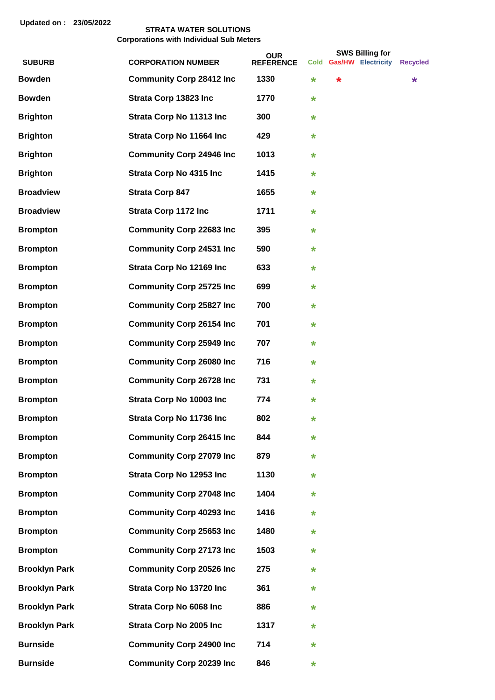|                      |                                  | <b>OUR</b>       |         |        | <b>SWS Billing for</b>  |                 |
|----------------------|----------------------------------|------------------|---------|--------|-------------------------|-----------------|
| <b>SUBURB</b>        | <b>CORPORATION NUMBER</b>        | <b>REFERENCE</b> |         |        | Cold Gas/HW Electricity | <b>Recycled</b> |
| <b>Bowden</b>        | <b>Community Corp 28412 Inc.</b> | 1330             | $\ast$  | $\ast$ |                         | *               |
| <b>Bowden</b>        | Strata Corp 13823 Inc            | 1770             | $\ast$  |        |                         |                 |
| <b>Brighton</b>      | Strata Corp No 11313 Inc         | 300              | $\ast$  |        |                         |                 |
| <b>Brighton</b>      | Strata Corp No 11664 Inc         | 429              | $\ast$  |        |                         |                 |
| <b>Brighton</b>      | <b>Community Corp 24946 Inc</b>  | 1013             | $\ast$  |        |                         |                 |
| <b>Brighton</b>      | <b>Strata Corp No 4315 Inc</b>   | 1415             | $\ast$  |        |                         |                 |
| <b>Broadview</b>     | <b>Strata Corp 847</b>           | 1655             | $\star$ |        |                         |                 |
| <b>Broadview</b>     | <b>Strata Corp 1172 Inc</b>      | 1711             | $\ast$  |        |                         |                 |
| <b>Brompton</b>      | <b>Community Corp 22683 Inc</b>  | 395              | $\ast$  |        |                         |                 |
| <b>Brompton</b>      | <b>Community Corp 24531 Inc.</b> | 590              | $\ast$  |        |                         |                 |
| <b>Brompton</b>      | Strata Corp No 12169 Inc         | 633              | $\ast$  |        |                         |                 |
| <b>Brompton</b>      | <b>Community Corp 25725 Inc</b>  | 699              | $\ast$  |        |                         |                 |
| <b>Brompton</b>      | <b>Community Corp 25827 Inc.</b> | 700              | $\ast$  |        |                         |                 |
| <b>Brompton</b>      | <b>Community Corp 26154 Inc</b>  | 701              | $\ast$  |        |                         |                 |
| <b>Brompton</b>      | <b>Community Corp 25949 Inc.</b> | 707              | $\ast$  |        |                         |                 |
| <b>Brompton</b>      | <b>Community Corp 26080 Inc</b>  | 716              | $\ast$  |        |                         |                 |
| <b>Brompton</b>      | <b>Community Corp 26728 Inc.</b> | 731              | $\ast$  |        |                         |                 |
| <b>Brompton</b>      | Strata Corp No 10003 Inc         | 774              | $\ast$  |        |                         |                 |
| <b>Brompton</b>      | Strata Corp No 11736 Inc         | 802              | $\ast$  |        |                         |                 |
| <b>Brompton</b>      | <b>Community Corp 26415 Inc</b>  | 844              | $\ast$  |        |                         |                 |
| <b>Brompton</b>      | <b>Community Corp 27079 Inc</b>  | 879              | $\ast$  |        |                         |                 |
| <b>Brompton</b>      | Strata Corp No 12953 Inc         | 1130             | $\ast$  |        |                         |                 |
| <b>Brompton</b>      | <b>Community Corp 27048 Inc</b>  | 1404             | $\ast$  |        |                         |                 |
| <b>Brompton</b>      | <b>Community Corp 40293 Inc</b>  | 1416             | $\ast$  |        |                         |                 |
| <b>Brompton</b>      | <b>Community Corp 25653 Inc</b>  | 1480             | $\ast$  |        |                         |                 |
| <b>Brompton</b>      | <b>Community Corp 27173 Inc</b>  | 1503             | $\star$ |        |                         |                 |
| <b>Brooklyn Park</b> | <b>Community Corp 20526 Inc</b>  | 275              | $\star$ |        |                         |                 |
| <b>Brooklyn Park</b> | Strata Corp No 13720 Inc         | 361              | $\star$ |        |                         |                 |
| <b>Brooklyn Park</b> | Strata Corp No 6068 Inc          | 886              | $\ast$  |        |                         |                 |
| <b>Brooklyn Park</b> | <b>Strata Corp No 2005 Inc</b>   | 1317             | $\ast$  |        |                         |                 |
| <b>Burnside</b>      | <b>Community Corp 24900 Inc</b>  | 714              | $\star$ |        |                         |                 |
| <b>Burnside</b>      | <b>Community Corp 20239 Inc</b>  | 846              | $\ast$  |        |                         |                 |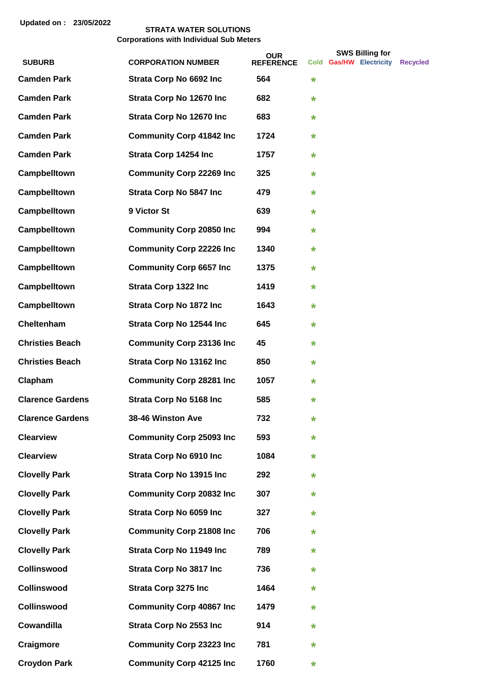|                         |                                  | <b>OUR</b>       |         | <b>SWS Billing for</b>  |                 |
|-------------------------|----------------------------------|------------------|---------|-------------------------|-----------------|
| <b>SUBURB</b>           | <b>CORPORATION NUMBER</b>        | <b>REFERENCE</b> |         | Cold Gas/HW Electricity | <b>Recvcled</b> |
| <b>Camden Park</b>      | Strata Corp No 6692 Inc          | 564              | $\star$ |                         |                 |
| <b>Camden Park</b>      | Strata Corp No 12670 Inc         | 682              | $\star$ |                         |                 |
| <b>Camden Park</b>      | Strata Corp No 12670 Inc         | 683              | $\star$ |                         |                 |
| <b>Camden Park</b>      | <b>Community Corp 41842 Inc</b>  | 1724             | $\star$ |                         |                 |
| <b>Camden Park</b>      | Strata Corp 14254 Inc            | 1757             | $\ast$  |                         |                 |
| Campbelltown            | <b>Community Corp 22269 Inc</b>  | 325              | $\ast$  |                         |                 |
| Campbelltown            | <b>Strata Corp No 5847 Inc</b>   | 479              | $\ast$  |                         |                 |
| Campbelltown            | 9 Victor St                      | 639              | $\ast$  |                         |                 |
| Campbelltown            | <b>Community Corp 20850 Inc</b>  | 994              | $\ast$  |                         |                 |
| Campbelltown            | <b>Community Corp 22226 Inc.</b> | 1340             | $\star$ |                         |                 |
| Campbelltown            | <b>Community Corp 6657 Inc.</b>  | 1375             | $\star$ |                         |                 |
| Campbelltown            | <b>Strata Corp 1322 Inc</b>      | 1419             | $\star$ |                         |                 |
| Campbelltown            | <b>Strata Corp No 1872 Inc.</b>  | 1643             | $\ast$  |                         |                 |
| Cheltenham              | Strata Corp No 12544 Inc         | 645              | $\star$ |                         |                 |
| <b>Christies Beach</b>  | <b>Community Corp 23136 Inc</b>  | 45               | $\star$ |                         |                 |
| <b>Christies Beach</b>  | Strata Corp No 13162 Inc         | 850              | $\ast$  |                         |                 |
| Clapham                 | <b>Community Corp 28281 Inc</b>  | 1057             | $\ast$  |                         |                 |
| <b>Clarence Gardens</b> | <b>Strata Corp No 5168 Inc</b>   | 585              | $\star$ |                         |                 |
| <b>Clarence Gardens</b> | 38-46 Winston Ave                | 732              | $\star$ |                         |                 |
| <b>Clearview</b>        | <b>Community Corp 25093 Inc</b>  | 593              | $\star$ |                         |                 |
| <b>Clearview</b>        | <b>Strata Corp No 6910 Inc</b>   | 1084             | $\ast$  |                         |                 |
| <b>Clovelly Park</b>    | Strata Corp No 13915 Inc         | 292              | $\ast$  |                         |                 |
| <b>Clovelly Park</b>    | <b>Community Corp 20832 Inc</b>  | 307              | $\ast$  |                         |                 |
| <b>Clovelly Park</b>    | Strata Corp No 6059 Inc          | 327              | $\star$ |                         |                 |
| <b>Clovelly Park</b>    | <b>Community Corp 21808 Inc</b>  | 706              | $\ast$  |                         |                 |
| <b>Clovelly Park</b>    | Strata Corp No 11949 Inc         | 789              | $\ast$  |                         |                 |
| <b>Collinswood</b>      | <b>Strata Corp No 3817 Inc.</b>  | 736              | $\star$ |                         |                 |
| <b>Collinswood</b>      | <b>Strata Corp 3275 Inc</b>      | 1464             | $\star$ |                         |                 |
| <b>Collinswood</b>      | <b>Community Corp 40867 Inc</b>  | 1479             | $\ast$  |                         |                 |
| Cowandilla              | <b>Strata Corp No 2553 Inc</b>   | 914              | $\ast$  |                         |                 |
| Craigmore               | <b>Community Corp 23223 Inc.</b> | 781              | $\ast$  |                         |                 |
| <b>Croydon Park</b>     | <b>Community Corp 42125 Inc</b>  | 1760             | $\star$ |                         |                 |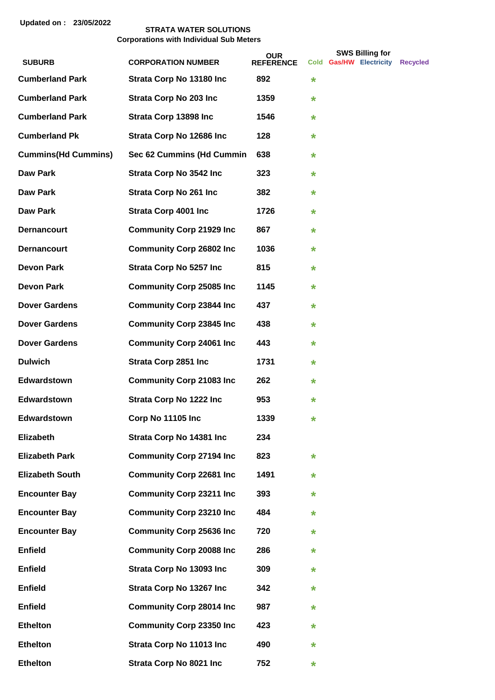|                                         |                                  | <b>OUR</b>              |         | <b>SWS Billing for</b>  |                 |
|-----------------------------------------|----------------------------------|-------------------------|---------|-------------------------|-----------------|
| <b>SUBURB</b><br><b>Cumberland Park</b> | <b>CORPORATION NUMBER</b>        | <b>REFERENCE</b><br>892 |         | Cold Gas/HW Electricity | <b>Recycled</b> |
|                                         | Strata Corp No 13180 Inc         |                         | $\star$ |                         |                 |
| <b>Cumberland Park</b>                  | <b>Strata Corp No 203 Inc.</b>   | 1359                    | $\star$ |                         |                 |
| <b>Cumberland Park</b>                  | Strata Corp 13898 Inc            | 1546                    | $\star$ |                         |                 |
| <b>Cumberland Pk</b>                    | Strata Corp No 12686 Inc         | 128                     | $\star$ |                         |                 |
| <b>Cummins(Hd Cummins)</b>              | Sec 62 Cummins (Hd Cummin        | 638                     | $\star$ |                         |                 |
| <b>Daw Park</b>                         | <b>Strata Corp No 3542 Inc.</b>  | 323                     | $\star$ |                         |                 |
| Daw Park                                | <b>Strata Corp No 261 Inc.</b>   | 382                     | $\star$ |                         |                 |
| Daw Park                                | <b>Strata Corp 4001 Inc</b>      | 1726                    | $\star$ |                         |                 |
| <b>Dernancourt</b>                      | <b>Community Corp 21929 Inc</b>  | 867                     | $\star$ |                         |                 |
| <b>Dernancourt</b>                      | <b>Community Corp 26802 Inc</b>  | 1036                    | $\star$ |                         |                 |
| <b>Devon Park</b>                       | <b>Strata Corp No 5257 Inc.</b>  | 815                     | $\star$ |                         |                 |
| <b>Devon Park</b>                       | <b>Community Corp 25085 Inc</b>  | 1145                    | $\star$ |                         |                 |
| <b>Dover Gardens</b>                    | <b>Community Corp 23844 Inc.</b> | 437                     | $\star$ |                         |                 |
| <b>Dover Gardens</b>                    | <b>Community Corp 23845 Inc.</b> | 438                     | $\star$ |                         |                 |
| <b>Dover Gardens</b>                    | <b>Community Corp 24061 Inc.</b> | 443                     | $\star$ |                         |                 |
| <b>Dulwich</b>                          | <b>Strata Corp 2851 Inc</b>      | 1731                    | $\star$ |                         |                 |
| <b>Edwardstown</b>                      | <b>Community Corp 21083 Inc.</b> | 262                     | $\star$ |                         |                 |
| Edwardstown                             | <b>Strata Corp No 1222 Inc.</b>  | 953                     | *       |                         |                 |
| <b>Edwardstown</b>                      | Corp No 11105 Inc                | 1339                    | *       |                         |                 |
| Elizabeth                               | Strata Corp No 14381 Inc         | 234                     |         |                         |                 |
| <b>Elizabeth Park</b>                   | <b>Community Corp 27194 Inc</b>  | 823                     | $\star$ |                         |                 |
| <b>Elizabeth South</b>                  | <b>Community Corp 22681 Inc</b>  | 1491                    | *       |                         |                 |
| <b>Encounter Bay</b>                    | <b>Community Corp 23211 Inc</b>  | 393                     | *       |                         |                 |
| <b>Encounter Bay</b>                    | <b>Community Corp 23210 Inc</b>  | 484                     | *       |                         |                 |
| <b>Encounter Bay</b>                    | <b>Community Corp 25636 Inc</b>  | 720                     | *       |                         |                 |
| <b>Enfield</b>                          | <b>Community Corp 20088 Inc</b>  | 286                     | $\star$ |                         |                 |
| <b>Enfield</b>                          | Strata Corp No 13093 Inc         | 309                     | *       |                         |                 |
| <b>Enfield</b>                          | Strata Corp No 13267 Inc         | 342                     | *       |                         |                 |
| <b>Enfield</b>                          | <b>Community Corp 28014 Inc</b>  | 987                     | *       |                         |                 |
| <b>Ethelton</b>                         | <b>Community Corp 23350 Inc</b>  | 423                     | *       |                         |                 |
| <b>Ethelton</b>                         | Strata Corp No 11013 Inc         | 490                     | $\star$ |                         |                 |
| <b>Ethelton</b>                         | <b>Strata Corp No 8021 Inc.</b>  | 752                     | *       |                         |                 |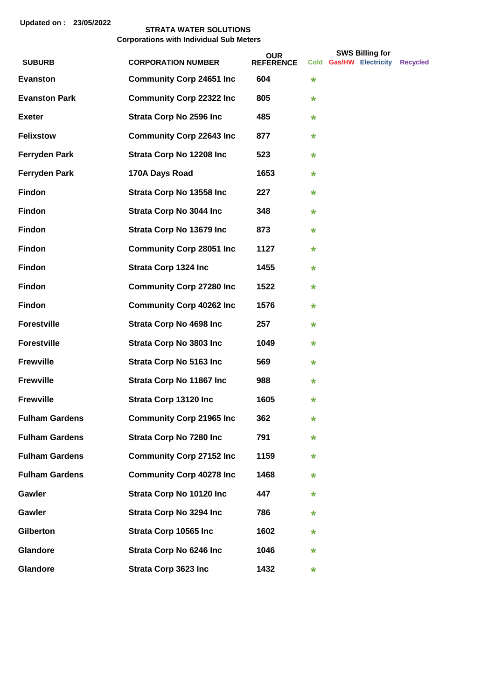|                       |                                  | <b>OUR</b>       |         | <b>SWS Billing for</b>  |                 |
|-----------------------|----------------------------------|------------------|---------|-------------------------|-----------------|
| <b>SUBURB</b>         | <b>CORPORATION NUMBER</b>        | <b>REFERENCE</b> |         | Cold Gas/HW Electricity | <b>Recycled</b> |
| <b>Evanston</b>       | <b>Community Corp 24651 Inc</b>  | 604              | $\star$ |                         |                 |
| <b>Evanston Park</b>  | <b>Community Corp 22322 Inc.</b> | 805              | $\star$ |                         |                 |
| <b>Exeter</b>         | <b>Strata Corp No 2596 Inc.</b>  | 485              | $\star$ |                         |                 |
| <b>Felixstow</b>      | <b>Community Corp 22643 Inc.</b> | 877              | *       |                         |                 |
| <b>Ferryden Park</b>  | Strata Corp No 12208 Inc         | 523              | *       |                         |                 |
| <b>Ferryden Park</b>  | 170A Days Road                   | 1653             | *       |                         |                 |
| <b>Findon</b>         | Strata Corp No 13558 Inc         | 227              | $\star$ |                         |                 |
| <b>Findon</b>         | <b>Strata Corp No 3044 Inc.</b>  | 348              | *       |                         |                 |
| <b>Findon</b>         | Strata Corp No 13679 Inc         | 873              | *       |                         |                 |
| <b>Findon</b>         | <b>Community Corp 28051 Inc</b>  | 1127             | $\star$ |                         |                 |
| <b>Findon</b>         | <b>Strata Corp 1324 Inc</b>      | 1455             | $\star$ |                         |                 |
| Findon                | <b>Community Corp 27280 Inc</b>  | 1522             | *       |                         |                 |
| <b>Findon</b>         | <b>Community Corp 40262 Inc.</b> | 1576             | *       |                         |                 |
| <b>Forestville</b>    | <b>Strata Corp No 4698 Inc.</b>  | 257              | *       |                         |                 |
| <b>Forestville</b>    | <b>Strata Corp No 3803 Inc</b>   | 1049             | *       |                         |                 |
| <b>Frewville</b>      | <b>Strata Corp No 5163 Inc</b>   | 569              | $\star$ |                         |                 |
| <b>Frewville</b>      | Strata Corp No 11867 Inc         | 988              | *       |                         |                 |
| <b>Frewville</b>      | Strata Corp 13120 Inc            | 1605             | $\star$ |                         |                 |
| <b>Fulham Gardens</b> | <b>Community Corp 21965 Inc</b>  | 362              | *       |                         |                 |
| <b>Fulham Gardens</b> | <b>Strata Corp No 7280 Inc</b>   | 791              | *       |                         |                 |
| <b>Fulham Gardens</b> | <b>Community Corp 27152 Inc</b>  | 1159             | *       |                         |                 |
| <b>Fulham Gardens</b> | <b>Community Corp 40278 Inc</b>  | 1468             | *       |                         |                 |
| Gawler                | Strata Corp No 10120 Inc         | 447              | *       |                         |                 |
| Gawler                | <b>Strata Corp No 3294 Inc.</b>  | 786              | *       |                         |                 |
| <b>Gilberton</b>      | Strata Corp 10565 Inc            | 1602             | *       |                         |                 |
| Glandore              | <b>Strata Corp No 6246 Inc.</b>  | 1046             | *       |                         |                 |
| Glandore              | Strata Corp 3623 Inc             | 1432             | *       |                         |                 |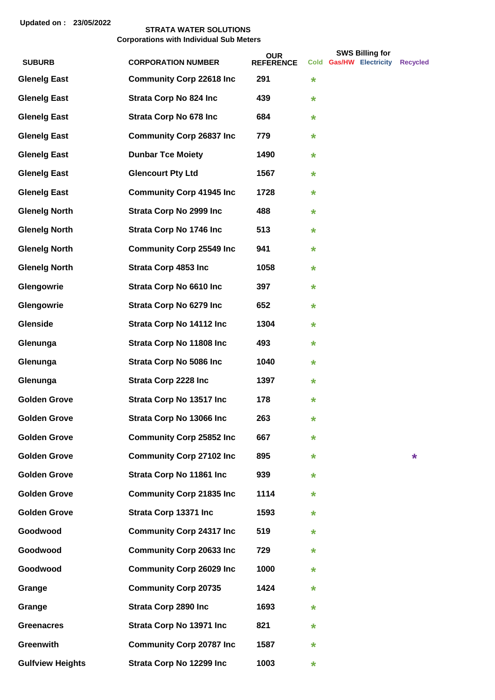|                         |                                  | <b>OUR</b>       |   | <b>SWS Billing for</b>  |          |
|-------------------------|----------------------------------|------------------|---|-------------------------|----------|
| <b>SUBURB</b>           | <b>CORPORATION NUMBER</b>        | <b>REFERENCE</b> |   | Cold Gas/HW Electricity | Recycled |
| <b>Glenelg East</b>     | <b>Community Corp 22618 Inc</b>  | 291              | * |                         |          |
| <b>Glenelg East</b>     | <b>Strata Corp No 824 Inc.</b>   | 439              | * |                         |          |
| <b>Glenelg East</b>     | <b>Strata Corp No 678 Inc.</b>   | 684              | * |                         |          |
| <b>Glenelg East</b>     | <b>Community Corp 26837 Inc</b>  | 779              | * |                         |          |
| <b>Glenelg East</b>     | <b>Dunbar Tce Moiety</b>         | 1490             | * |                         |          |
| <b>Glenelg East</b>     | <b>Glencourt Pty Ltd</b>         | 1567             | ¥ |                         |          |
| <b>Glenelg East</b>     | <b>Community Corp 41945 Inc.</b> | 1728             | * |                         |          |
| <b>Glenelg North</b>    | <b>Strata Corp No 2999 Inc</b>   | 488              | * |                         |          |
| <b>Glenelg North</b>    | <b>Strata Corp No 1746 Inc</b>   | 513              | * |                         |          |
| <b>Glenelg North</b>    | <b>Community Corp 25549 Inc</b>  | 941              | * |                         |          |
| <b>Glenelg North</b>    | <b>Strata Corp 4853 Inc</b>      | 1058             | * |                         |          |
| Glengowrie              | Strata Corp No 6610 Inc          | 397              | * |                         |          |
| Glengowrie              | <b>Strata Corp No 6279 Inc.</b>  | 652              | * |                         |          |
| Glenside                | Strata Corp No 14112 Inc         | 1304             | * |                         |          |
| Glenunga                | Strata Corp No 11808 Inc         | 493              | * |                         |          |
| Glenunga                | <b>Strata Corp No 5086 Inc</b>   | 1040             | * |                         |          |
| Glenunga                | <b>Strata Corp 2228 Inc</b>      | 1397             | * |                         |          |
| <b>Golden Grove</b>     | Strata Corp No 13517 Inc         | 178              | * |                         |          |
| <b>Golden Grove</b>     | Strata Corp No 13066 Inc         | 263              | * |                         |          |
| <b>Golden Grove</b>     | <b>Community Corp 25852 Inc</b>  | 667              | * |                         |          |
| <b>Golden Grove</b>     | <b>Community Corp 27102 Inc</b>  | 895              | * |                         | *        |
| <b>Golden Grove</b>     | Strata Corp No 11861 Inc         | 939              | * |                         |          |
| <b>Golden Grove</b>     | <b>Community Corp 21835 Inc</b>  | 1114             | * |                         |          |
| <b>Golden Grove</b>     | Strata Corp 13371 Inc            | 1593             | * |                         |          |
| Goodwood                | <b>Community Corp 24317 Inc</b>  | 519              | * |                         |          |
| Goodwood                | <b>Community Corp 20633 Inc</b>  | 729              | * |                         |          |
| Goodwood                | <b>Community Corp 26029 Inc</b>  | 1000             | * |                         |          |
| Grange                  | <b>Community Corp 20735</b>      | 1424             | ¥ |                         |          |
| Grange                  | <b>Strata Corp 2890 Inc</b>      | 1693             | ¥ |                         |          |
| <b>Greenacres</b>       | Strata Corp No 13971 Inc         | 821              | * |                         |          |
| <b>Greenwith</b>        | <b>Community Corp 20787 Inc</b>  | 1587             | * |                         |          |
| <b>Gulfview Heights</b> | Strata Corp No 12299 Inc         | 1003             | * |                         |          |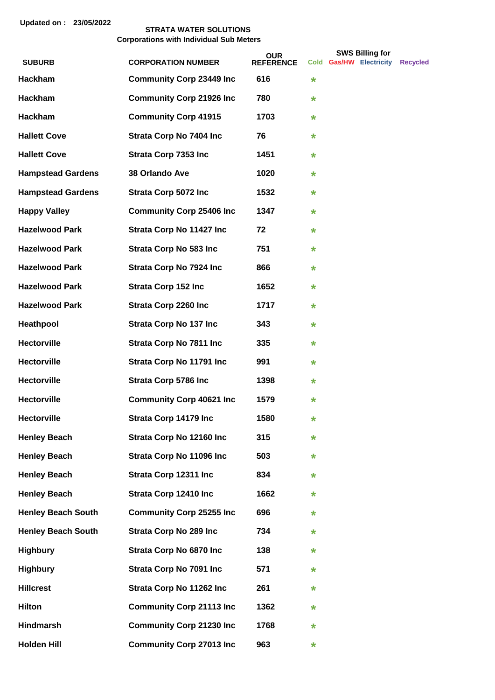|                           |                                  | <b>OUR</b>       |         | <b>SWS Billing for</b>  |                 |
|---------------------------|----------------------------------|------------------|---------|-------------------------|-----------------|
| <b>SUBURB</b>             | <b>CORPORATION NUMBER</b>        | <b>REFERENCE</b> |         | Cold Gas/HW Electricity | <b>Recvcled</b> |
| Hackham                   | <b>Community Corp 23449 Inc</b>  | 616              | $\star$ |                         |                 |
| Hackham                   | <b>Community Corp 21926 Inc</b>  | 780              | *       |                         |                 |
| <b>Hackham</b>            | <b>Community Corp 41915</b>      | 1703             | *       |                         |                 |
| <b>Hallett Cove</b>       | <b>Strata Corp No 7404 Inc</b>   | 76               | *       |                         |                 |
| <b>Hallett Cove</b>       | <b>Strata Corp 7353 Inc</b>      | 1451             | *       |                         |                 |
| <b>Hampstead Gardens</b>  | 38 Orlando Ave                   | 1020             | *       |                         |                 |
| <b>Hampstead Gardens</b>  | <b>Strata Corp 5072 Inc</b>      | 1532             | $\star$ |                         |                 |
| <b>Happy Valley</b>       | <b>Community Corp 25406 Inc</b>  | 1347             | $\star$ |                         |                 |
| <b>Hazelwood Park</b>     | Strata Corp No 11427 Inc         | 72               | *       |                         |                 |
| <b>Hazelwood Park</b>     | <b>Strata Corp No 583 Inc.</b>   | 751              | *       |                         |                 |
| <b>Hazelwood Park</b>     | <b>Strata Corp No 7924 Inc.</b>  | 866              | *       |                         |                 |
| <b>Hazelwood Park</b>     | <b>Strata Corp 152 Inc</b>       | 1652             | *       |                         |                 |
| <b>Hazelwood Park</b>     | <b>Strata Corp 2260 Inc</b>      | 1717             | *       |                         |                 |
| Heathpool                 | <b>Strata Corp No 137 Inc.</b>   | 343              | *       |                         |                 |
| <b>Hectorville</b>        | <b>Strata Corp No 7811 Inc.</b>  | 335              | *       |                         |                 |
| <b>Hectorville</b>        | Strata Corp No 11791 Inc         | 991              | $\star$ |                         |                 |
| <b>Hectorville</b>        | <b>Strata Corp 5786 Inc</b>      | 1398             | *       |                         |                 |
| <b>Hectorville</b>        | <b>Community Corp 40621 Inc.</b> | 1579             | *       |                         |                 |
| Hectorville               | Strata Corp 14179 Inc            | 1580             | $\star$ |                         |                 |
| <b>Henley Beach</b>       | Strata Corp No 12160 Inc         | 315              | *       |                         |                 |
| <b>Henley Beach</b>       | Strata Corp No 11096 Inc         | 503              | *       |                         |                 |
| <b>Henley Beach</b>       | Strata Corp 12311 Inc            | 834              | *       |                         |                 |
| <b>Henley Beach</b>       | Strata Corp 12410 Inc            | 1662             | *       |                         |                 |
| <b>Henley Beach South</b> | <b>Community Corp 25255 Inc</b>  | 696              | *       |                         |                 |
| <b>Henley Beach South</b> | <b>Strata Corp No 289 Inc</b>    | 734              | *       |                         |                 |
| <b>Highbury</b>           | Strata Corp No 6870 Inc          | 138              | *       |                         |                 |
| <b>Highbury</b>           | <b>Strata Corp No 7091 Inc</b>   | 571              | *       |                         |                 |
| <b>Hillcrest</b>          | Strata Corp No 11262 Inc         | 261              | *       |                         |                 |
| <b>Hilton</b>             | <b>Community Corp 21113 Inc</b>  | 1362             | *       |                         |                 |
| Hindmarsh                 | <b>Community Corp 21230 Inc</b>  | 1768             | *       |                         |                 |
| <b>Holden Hill</b>        | <b>Community Corp 27013 Inc</b>  | 963              | *       |                         |                 |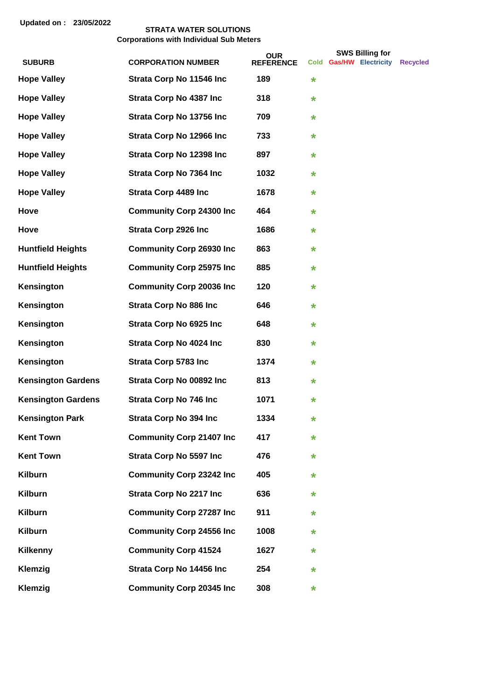|                           |                                  | <b>OUR</b>       |   | <b>SWS Billing for</b>  |          |
|---------------------------|----------------------------------|------------------|---|-------------------------|----------|
| <b>SUBURB</b>             | <b>CORPORATION NUMBER</b>        | <b>REFERENCE</b> |   | Cold Gas/HW Electricity | Recycled |
| <b>Hope Valley</b>        | Strata Corp No 11546 Inc         | 189              | * |                         |          |
| <b>Hope Valley</b>        | <b>Strata Corp No 4387 Inc</b>   | 318              | * |                         |          |
| <b>Hope Valley</b>        | Strata Corp No 13756 Inc         | 709              | * |                         |          |
| <b>Hope Valley</b>        | Strata Corp No 12966 Inc         | 733              | * |                         |          |
| <b>Hope Valley</b>        | Strata Corp No 12398 Inc         | 897              | * |                         |          |
| <b>Hope Valley</b>        | <b>Strata Corp No 7364 Inc.</b>  | 1032             | * |                         |          |
| <b>Hope Valley</b>        | <b>Strata Corp 4489 Inc</b>      | 1678             | * |                         |          |
| <b>Hove</b>               | <b>Community Corp 24300 Inc</b>  | 464              | * |                         |          |
| Hove                      | <b>Strata Corp 2926 Inc</b>      | 1686             | * |                         |          |
| <b>Huntfield Heights</b>  | <b>Community Corp 26930 Inc</b>  | 863              | * |                         |          |
| <b>Huntfield Heights</b>  | <b>Community Corp 25975 Inc</b>  | 885              | * |                         |          |
| Kensington                | <b>Community Corp 20036 Inc.</b> | 120              | * |                         |          |
| Kensington                | <b>Strata Corp No 886 Inc.</b>   | 646              | * |                         |          |
| Kensington                | <b>Strata Corp No 6925 Inc.</b>  | 648              | * |                         |          |
| Kensington                | <b>Strata Corp No 4024 Inc.</b>  | 830              | * |                         |          |
| Kensington                | <b>Strata Corp 5783 Inc</b>      | 1374             | * |                         |          |
| <b>Kensington Gardens</b> | Strata Corp No 00892 Inc         | 813              | * |                         |          |
| <b>Kensington Gardens</b> | <b>Strata Corp No 746 Inc.</b>   | 1071             | * |                         |          |
| <b>Kensington Park</b>    | <b>Strata Corp No 394 Inc</b>    | 1334             | * |                         |          |
| <b>Kent Town</b>          | <b>Community Corp 21407 Inc</b>  | 417              | * |                         |          |
| <b>Kent Town</b>          | <b>Strata Corp No 5597 Inc.</b>  | 476              | * |                         |          |
| <b>Kilburn</b>            | <b>Community Corp 23242 Inc</b>  | 405              | * |                         |          |
| <b>Kilburn</b>            | <b>Strata Corp No 2217 Inc.</b>  | 636              | * |                         |          |
| <b>Kilburn</b>            | <b>Community Corp 27287 Inc</b>  | 911              | * |                         |          |
| <b>Kilburn</b>            | <b>Community Corp 24556 Inc</b>  | 1008             | * |                         |          |
| <b>Kilkenny</b>           | <b>Community Corp 41524</b>      | 1627             | * |                         |          |
| Klemzig                   | Strata Corp No 14456 Inc         | 254              | * |                         |          |
| Klemzig                   | <b>Community Corp 20345 Inc</b>  | 308              | * |                         |          |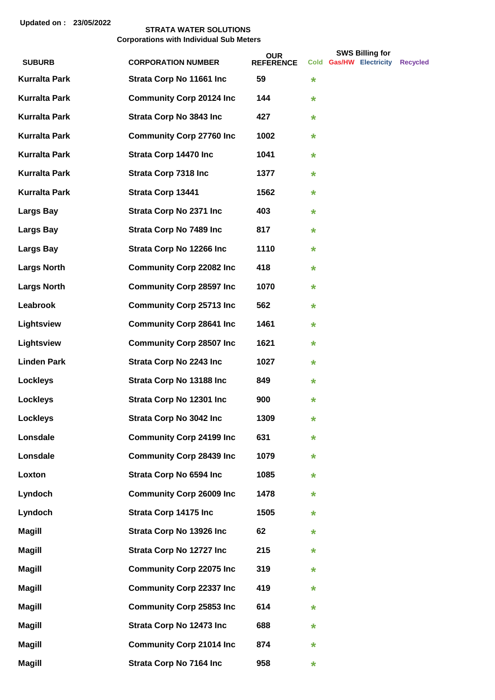|                      |                                  | <b>OUR</b>       |         | <b>SWS Billing for</b>  |                 |
|----------------------|----------------------------------|------------------|---------|-------------------------|-----------------|
| <b>SUBURB</b>        | <b>CORPORATION NUMBER</b>        | <b>REFERENCE</b> |         | Cold Gas/HW Electricity | <b>Recycled</b> |
| <b>Kurralta Park</b> | Strata Corp No 11661 Inc         | 59               | $\star$ |                         |                 |
| <b>Kurralta Park</b> | <b>Community Corp 20124 Inc</b>  | 144              | $\star$ |                         |                 |
| <b>Kurralta Park</b> | <b>Strata Corp No 3843 Inc.</b>  | 427              | $\star$ |                         |                 |
| <b>Kurralta Park</b> | <b>Community Corp 27760 Inc</b>  | 1002             | *       |                         |                 |
| <b>Kurralta Park</b> | Strata Corp 14470 Inc            | 1041             | $\star$ |                         |                 |
| <b>Kurralta Park</b> | <b>Strata Corp 7318 Inc</b>      | 1377             | *       |                         |                 |
| <b>Kurralta Park</b> | Strata Corp 13441                | 1562             | $\star$ |                         |                 |
| <b>Largs Bay</b>     | <b>Strata Corp No 2371 Inc.</b>  | 403              | $\star$ |                         |                 |
| <b>Largs Bay</b>     | <b>Strata Corp No 7489 Inc</b>   | 817              | $\star$ |                         |                 |
| <b>Largs Bay</b>     | Strata Corp No 12266 Inc         | 1110             | $\star$ |                         |                 |
| <b>Largs North</b>   | <b>Community Corp 22082 Inc</b>  | 418              | *       |                         |                 |
| <b>Largs North</b>   | <b>Community Corp 28597 Inc</b>  | 1070             | $\star$ |                         |                 |
| Leabrook             | <b>Community Corp 25713 Inc</b>  | 562              | *       |                         |                 |
| Lightsview           | <b>Community Corp 28641 Inc</b>  | 1461             | *       |                         |                 |
| Lightsview           | <b>Community Corp 28507 Inc.</b> | 1621             | *       |                         |                 |
| <b>Linden Park</b>   | <b>Strata Corp No 2243 Inc</b>   | 1027             | $\star$ |                         |                 |
| <b>Lockleys</b>      | Strata Corp No 13188 Inc         | 849              | *       |                         |                 |
| <b>Lockleys</b>      | Strata Corp No 12301 Inc         | 900              | $\star$ |                         |                 |
| <b>Lockleys</b>      | <b>Strata Corp No 3042 Inc.</b>  | 1309             | *       |                         |                 |
| Lonsdale             | <b>Community Corp 24199 Inc</b>  | 631              | *       |                         |                 |
| Lonsdale             | <b>Community Corp 28439 Inc</b>  | 1079             | *       |                         |                 |
| Loxton               | Strata Corp No 6594 Inc          | 1085             | *       |                         |                 |
| Lyndoch              | <b>Community Corp 26009 Inc</b>  | 1478             | *       |                         |                 |
| Lyndoch              | Strata Corp 14175 Inc            | 1505             | *       |                         |                 |
| <b>Magill</b>        | Strata Corp No 13926 Inc         | 62               | *       |                         |                 |
| <b>Magill</b>        | Strata Corp No 12727 Inc         | 215              | *       |                         |                 |
| <b>Magill</b>        | <b>Community Corp 22075 Inc</b>  | 319              | $\star$ |                         |                 |
| <b>Magill</b>        | <b>Community Corp 22337 Inc</b>  | 419              | *       |                         |                 |
| <b>Magill</b>        | <b>Community Corp 25853 Inc</b>  | 614              | *       |                         |                 |
| <b>Magill</b>        | Strata Corp No 12473 Inc         | 688              | *       |                         |                 |
| <b>Magill</b>        | <b>Community Corp 21014 Inc</b>  | 874              | *       |                         |                 |
| <b>Magill</b>        | <b>Strata Corp No 7164 Inc</b>   | 958              | *       |                         |                 |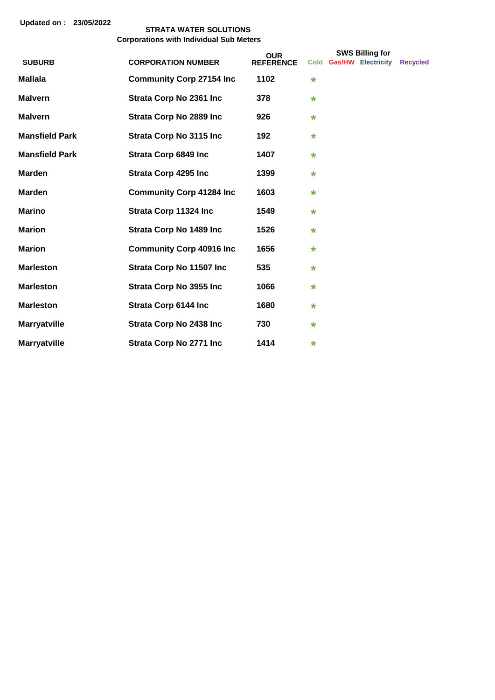|                       |                                 | <b>OUR</b>       | <b>SWS Billing for</b> |  |                         |                 |
|-----------------------|---------------------------------|------------------|------------------------|--|-------------------------|-----------------|
| <b>SUBURB</b>         | <b>CORPORATION NUMBER</b>       | <b>REFERENCE</b> |                        |  | Cold Gas/HW Electricity | <b>Recycled</b> |
| <b>Mallala</b>        | <b>Community Corp 27154 Inc</b> | 1102             | $\star$                |  |                         |                 |
| <b>Malvern</b>        | <b>Strata Corp No 2361 Inc</b>  | 378              | $\star$                |  |                         |                 |
| <b>Malvern</b>        | <b>Strata Corp No 2889 Inc</b>  | 926              | $\star$                |  |                         |                 |
| <b>Mansfield Park</b> | <b>Strata Corp No 3115 Inc</b>  | 192              | $\star$                |  |                         |                 |
| <b>Mansfield Park</b> | <b>Strata Corp 6849 Inc</b>     | 1407             | $\star$                |  |                         |                 |
| <b>Marden</b>         | <b>Strata Corp 4295 Inc</b>     | 1399             | *                      |  |                         |                 |
| <b>Marden</b>         | <b>Community Corp 41284 Inc</b> | 1603             | $\star$                |  |                         |                 |
| <b>Marino</b>         | Strata Corp 11324 Inc           | 1549             | $\star$                |  |                         |                 |
| <b>Marion</b>         | <b>Strata Corp No 1489 Inc</b>  | 1526             | $\star$                |  |                         |                 |
| <b>Marion</b>         | <b>Community Corp 40916 Inc</b> | 1656             | *                      |  |                         |                 |
| <b>Marleston</b>      | Strata Corp No 11507 Inc        | 535              | $\star$                |  |                         |                 |
| <b>Marleston</b>      | <b>Strata Corp No 3955 Inc</b>  | 1066             | $\star$                |  |                         |                 |
| <b>Marleston</b>      | <b>Strata Corp 6144 Inc</b>     | 1680             | $\star$                |  |                         |                 |
| <b>Marryatville</b>   | <b>Strata Corp No 2438 Inc</b>  | 730              | $\star$                |  |                         |                 |
| <b>Marryatville</b>   | <b>Strata Corp No 2771 Inc</b>  | 1414             | $\star$                |  |                         |                 |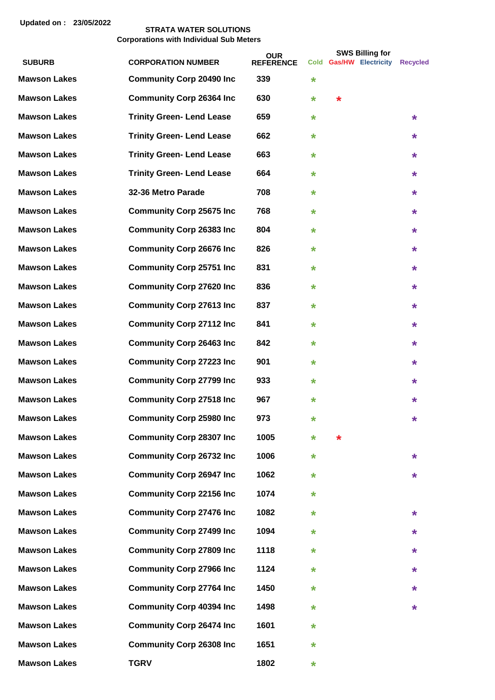| <b>SUBURB</b>       | <b>CORPORATION NUMBER</b>        | <b>OUR</b><br><b>REFERENCE</b> |         |         | <b>SWS Billing for</b><br>Cold Gas/HW Electricity | <b>Recycled</b> |
|---------------------|----------------------------------|--------------------------------|---------|---------|---------------------------------------------------|-----------------|
| <b>Mawson Lakes</b> | <b>Community Corp 20490 Inc</b>  | 339                            | $\star$ |         |                                                   |                 |
| <b>Mawson Lakes</b> | <b>Community Corp 26364 Inc</b>  | 630                            | *       | $\star$ |                                                   |                 |
| <b>Mawson Lakes</b> | <b>Trinity Green- Lend Lease</b> | 659                            | *       |         |                                                   | $\star$         |
| <b>Mawson Lakes</b> | <b>Trinity Green- Lend Lease</b> | 662                            | *       |         |                                                   | *               |
| <b>Mawson Lakes</b> | <b>Trinity Green- Lend Lease</b> | 663                            | $\star$ |         |                                                   | $\star$         |
| <b>Mawson Lakes</b> | <b>Trinity Green- Lend Lease</b> | 664                            | *       |         |                                                   | *               |
| <b>Mawson Lakes</b> | 32-36 Metro Parade               | 708                            | $\star$ |         |                                                   | $\star$         |
| <b>Mawson Lakes</b> | <b>Community Corp 25675 Inc</b>  | 768                            | $\star$ |         |                                                   | *               |
| <b>Mawson Lakes</b> | <b>Community Corp 26383 Inc</b>  | 804                            | $\star$ |         |                                                   | $\star$         |
| <b>Mawson Lakes</b> | <b>Community Corp 26676 Inc</b>  | 826                            | $\star$ |         |                                                   | $\star$         |
| <b>Mawson Lakes</b> | <b>Community Corp 25751 Inc</b>  | 831                            | *       |         |                                                   | $\star$         |
| <b>Mawson Lakes</b> | <b>Community Corp 27620 Inc</b>  | 836                            | *       |         |                                                   | $\star$         |
| <b>Mawson Lakes</b> | <b>Community Corp 27613 Inc</b>  | 837                            | *       |         |                                                   | *               |
| <b>Mawson Lakes</b> | <b>Community Corp 27112 Inc</b>  | 841                            | $\star$ |         |                                                   | $\star$         |
| <b>Mawson Lakes</b> | <b>Community Corp 26463 Inc</b>  | 842                            | *       |         |                                                   | *               |
| <b>Mawson Lakes</b> | <b>Community Corp 27223 Inc</b>  | 901                            | *       |         |                                                   | *               |
| <b>Mawson Lakes</b> | <b>Community Corp 27799 Inc</b>  | 933                            | *       |         |                                                   | *               |
| <b>Mawson Lakes</b> | <b>Community Corp 27518 Inc</b>  | 967                            | $\star$ |         |                                                   | *               |
| <b>Mawson Lakes</b> | <b>Community Corp 25980 Inc</b>  | 973                            | *       |         |                                                   | *               |
| <b>Mawson Lakes</b> | <b>Community Corp 28307 Inc</b>  | 1005                           | $\star$ | *       |                                                   |                 |
| <b>Mawson Lakes</b> | <b>Community Corp 26732 Inc</b>  | 1006                           | *       |         |                                                   | $\star$         |
| <b>Mawson Lakes</b> | <b>Community Corp 26947 Inc</b>  | 1062                           | *       |         |                                                   | *               |
| <b>Mawson Lakes</b> | <b>Community Corp 22156 Inc</b>  | 1074                           | *       |         |                                                   |                 |
| <b>Mawson Lakes</b> | <b>Community Corp 27476 Inc</b>  | 1082                           | *       |         |                                                   | *               |
| <b>Mawson Lakes</b> | <b>Community Corp 27499 Inc</b>  | 1094                           | *       |         |                                                   | *               |
| <b>Mawson Lakes</b> | <b>Community Corp 27809 Inc</b>  | 1118                           | *       |         |                                                   | *               |
| <b>Mawson Lakes</b> | <b>Community Corp 27966 Inc</b>  | 1124                           | *       |         |                                                   | *               |
| <b>Mawson Lakes</b> | <b>Community Corp 27764 Inc</b>  | 1450                           | *       |         |                                                   | *               |
| <b>Mawson Lakes</b> | <b>Community Corp 40394 Inc</b>  | 1498                           | *       |         |                                                   | *               |
|                     |                                  |                                |         |         |                                                   |                 |
| <b>Mawson Lakes</b> | <b>Community Corp 26474 Inc</b>  | 1601                           | *       |         |                                                   |                 |
| <b>Mawson Lakes</b> | <b>Community Corp 26308 Inc</b>  | 1651                           | *       |         |                                                   |                 |
| <b>Mawson Lakes</b> | <b>TGRV</b>                      | 1802                           | *       |         |                                                   |                 |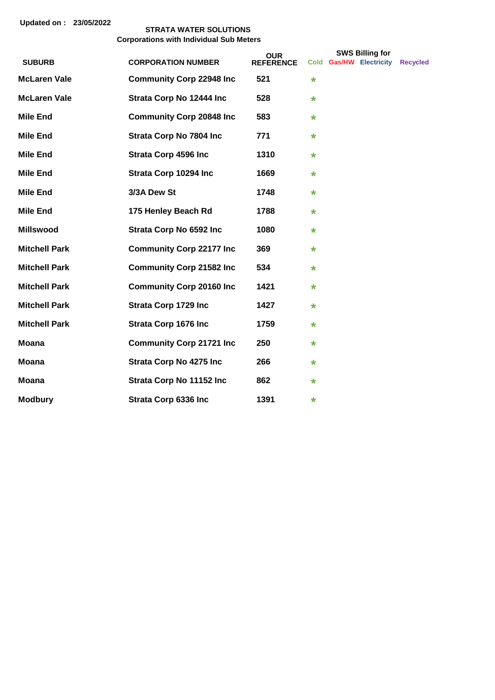|                      |                                 | <b>OUR</b>       | <b>SWS Billing for</b><br>Cold Gas/HW Electricity |  |  |                 |
|----------------------|---------------------------------|------------------|---------------------------------------------------|--|--|-----------------|
| <b>SUBURB</b>        | <b>CORPORATION NUMBER</b>       | <b>REFERENCE</b> |                                                   |  |  | <b>Recycled</b> |
| <b>McLaren Vale</b>  | <b>Community Corp 22948 Inc</b> | 521              | *                                                 |  |  |                 |
| <b>McLaren Vale</b>  | Strata Corp No 12444 Inc        | 528              | *                                                 |  |  |                 |
| <b>Mile End</b>      | <b>Community Corp 20848 Inc</b> | 583              | *                                                 |  |  |                 |
| <b>Mile End</b>      | <b>Strata Corp No 7804 Inc</b>  | 771              | *                                                 |  |  |                 |
| <b>Mile End</b>      | <b>Strata Corp 4596 Inc</b>     | 1310             | $\star$                                           |  |  |                 |
| <b>Mile End</b>      | Strata Corp 10294 Inc           | 1669             | *                                                 |  |  |                 |
| <b>Mile End</b>      | 3/3A Dew St                     | 1748             | $\star$                                           |  |  |                 |
| <b>Mile End</b>      | 175 Henley Beach Rd             | 1788             | *                                                 |  |  |                 |
| <b>Millswood</b>     | Strata Corp No 6592 Inc         | 1080             | *                                                 |  |  |                 |
| <b>Mitchell Park</b> | <b>Community Corp 22177 Inc</b> | 369              | *                                                 |  |  |                 |
| <b>Mitchell Park</b> | <b>Community Corp 21582 Inc</b> | 534              | *                                                 |  |  |                 |
| <b>Mitchell Park</b> | <b>Community Corp 20160 Inc</b> | 1421             | *                                                 |  |  |                 |
| <b>Mitchell Park</b> | Strata Corp 1729 Inc            | 1427             | *                                                 |  |  |                 |
| <b>Mitchell Park</b> | <b>Strata Corp 1676 Inc</b>     | 1759             | *                                                 |  |  |                 |
| <b>Moana</b>         | <b>Community Corp 21721 Inc</b> | 250              | *                                                 |  |  |                 |
| Moana                | <b>Strata Corp No 4275 Inc</b>  | 266              | *                                                 |  |  |                 |
| <b>Moana</b>         | Strata Corp No 11152 Inc        | 862              | *                                                 |  |  |                 |
| <b>Modbury</b>       | Strata Corp 6336 Inc            | 1391             | *                                                 |  |  |                 |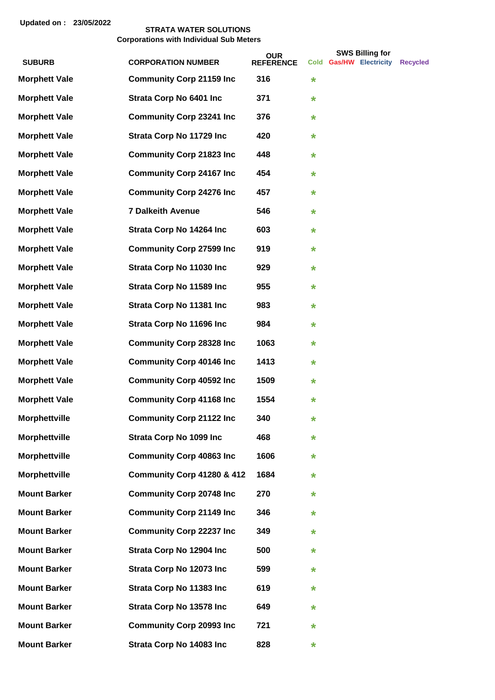|                      |                                  | <b>OUR</b>       |         | <b>SWS Billing for</b>  |                 |
|----------------------|----------------------------------|------------------|---------|-------------------------|-----------------|
| <b>SUBURB</b>        | <b>CORPORATION NUMBER</b>        | <b>REFERENCE</b> |         | Cold Gas/HW Electricity | <b>Recvcled</b> |
| <b>Morphett Vale</b> | <b>Community Corp 21159 Inc</b>  | 316              | $\star$ |                         |                 |
| <b>Morphett Vale</b> | Strata Corp No 6401 Inc          | 371              | $\ast$  |                         |                 |
| <b>Morphett Vale</b> | <b>Community Corp 23241 Inc</b>  | 376              | $\ast$  |                         |                 |
| <b>Morphett Vale</b> | Strata Corp No 11729 Inc         | 420              | $\ast$  |                         |                 |
| <b>Morphett Vale</b> | <b>Community Corp 21823 Inc</b>  | 448              | $\ast$  |                         |                 |
| <b>Morphett Vale</b> | <b>Community Corp 24167 Inc</b>  | 454              | $\ast$  |                         |                 |
| <b>Morphett Vale</b> | <b>Community Corp 24276 Inc</b>  | 457              | $\ast$  |                         |                 |
| <b>Morphett Vale</b> | <b>7 Dalkeith Avenue</b>         | 546              | $\ast$  |                         |                 |
| <b>Morphett Vale</b> | Strata Corp No 14264 Inc         | 603              | $\ast$  |                         |                 |
| <b>Morphett Vale</b> | <b>Community Corp 27599 Inc</b>  | 919              | $\ast$  |                         |                 |
| <b>Morphett Vale</b> | Strata Corp No 11030 Inc         | 929              | $\star$ |                         |                 |
| <b>Morphett Vale</b> | Strata Corp No 11589 Inc         | 955              | $\ast$  |                         |                 |
| <b>Morphett Vale</b> | Strata Corp No 11381 Inc         | 983              | $\ast$  |                         |                 |
| <b>Morphett Vale</b> | Strata Corp No 11696 Inc         | 984              | $\ast$  |                         |                 |
| <b>Morphett Vale</b> | <b>Community Corp 28328 Inc.</b> | 1063             | $\ast$  |                         |                 |
| <b>Morphett Vale</b> | <b>Community Corp 40146 Inc</b>  | 1413             | $\ast$  |                         |                 |
| <b>Morphett Vale</b> | <b>Community Corp 40592 Inc</b>  | 1509             | $\ast$  |                         |                 |
| <b>Morphett Vale</b> | <b>Community Corp 41168 Inc</b>  | 1554             | $\star$ |                         |                 |
| <b>Morphettville</b> | <b>Community Corp 21122 Inc</b>  | 340              | $\star$ |                         |                 |
| <b>Morphettville</b> | <b>Strata Corp No 1099 Inc</b>   | 468              | *       |                         |                 |
| <b>Morphettville</b> | <b>Community Corp 40863 Inc</b>  | 1606             | $\ast$  |                         |                 |
| <b>Morphettville</b> | Community Corp 41280 & 412       | 1684             | *       |                         |                 |
| <b>Mount Barker</b>  | <b>Community Corp 20748 Inc</b>  | 270              | $\ast$  |                         |                 |
| <b>Mount Barker</b>  | <b>Community Corp 21149 Inc</b>  | 346              | $\ast$  |                         |                 |
| <b>Mount Barker</b>  | <b>Community Corp 22237 Inc</b>  | 349              | $\ast$  |                         |                 |
| <b>Mount Barker</b>  | Strata Corp No 12904 Inc         | 500              | $\ast$  |                         |                 |
| <b>Mount Barker</b>  | Strata Corp No 12073 Inc         | 599              | *       |                         |                 |
| <b>Mount Barker</b>  | Strata Corp No 11383 Inc         | 619              | $\ast$  |                         |                 |
| <b>Mount Barker</b>  | Strata Corp No 13578 Inc         | 649              | $\ast$  |                         |                 |
| <b>Mount Barker</b>  | <b>Community Corp 20993 Inc.</b> | 721              | $\star$ |                         |                 |
| <b>Mount Barker</b>  | Strata Corp No 14083 Inc         | 828              | $\ast$  |                         |                 |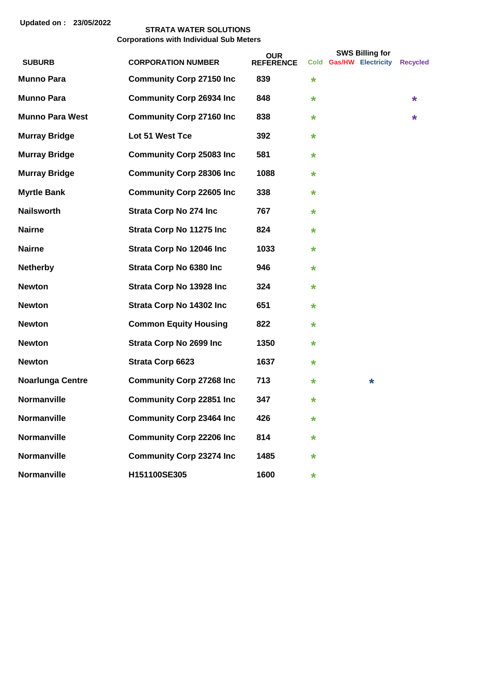|                        |                                  | <b>OUR</b>       |         | <b>SWS Billing for</b>           |   |
|------------------------|----------------------------------|------------------|---------|----------------------------------|---|
| <b>SUBURB</b>          | <b>CORPORATION NUMBER</b>        | <b>REFERENCE</b> |         | Cold Gas/HW Electricity Recycled |   |
| <b>Munno Para</b>      | <b>Community Corp 27150 Inc</b>  | 839              | $\star$ |                                  |   |
| <b>Munno Para</b>      | <b>Community Corp 26934 Inc</b>  | 848              | $\star$ |                                  | * |
| <b>Munno Para West</b> | <b>Community Corp 27160 Inc</b>  | 838              | $\star$ |                                  | * |
| <b>Murray Bridge</b>   | Lot 51 West Tce                  | 392              | *       |                                  |   |
| <b>Murray Bridge</b>   | <b>Community Corp 25083 Inc</b>  | 581              | $\star$ |                                  |   |
| <b>Murray Bridge</b>   | <b>Community Corp 28306 Inc</b>  | 1088             | $\star$ |                                  |   |
| <b>Myrtle Bank</b>     | <b>Community Corp 22605 Inc</b>  | 338              | *       |                                  |   |
| <b>Nailsworth</b>      | <b>Strata Corp No 274 Inc</b>    | 767              | $\star$ |                                  |   |
| <b>Nairne</b>          | Strata Corp No 11275 Inc         | 824              | $\star$ |                                  |   |
| <b>Nairne</b>          | Strata Corp No 12046 Inc         | 1033             | $\star$ |                                  |   |
| <b>Netherby</b>        | <b>Strata Corp No 6380 Inc</b>   | 946              | $\star$ |                                  |   |
| <b>Newton</b>          | Strata Corp No 13928 Inc         | 324              | *       |                                  |   |
| <b>Newton</b>          | Strata Corp No 14302 Inc         | 651              | $\star$ |                                  |   |
| <b>Newton</b>          | <b>Common Equity Housing</b>     | 822              | $\star$ |                                  |   |
| <b>Newton</b>          | <b>Strata Corp No 2699 Inc</b>   | 1350             | *       |                                  |   |
| <b>Newton</b>          | Strata Corp 6623                 | 1637             | $\star$ |                                  |   |
| Noarlunga Centre       | <b>Community Corp 27268 Inc</b>  | 713              | $\star$ | *                                |   |
| <b>Normanville</b>     | <b>Community Corp 22851 Inc</b>  | 347              | $\star$ |                                  |   |
| <b>Normanville</b>     | <b>Community Corp 23464 Inc.</b> | 426              | $\star$ |                                  |   |
| <b>Normanville</b>     | <b>Community Corp 22206 Inc</b>  | 814              | $\star$ |                                  |   |
| <b>Normanville</b>     | <b>Community Corp 23274 Inc</b>  | 1485             | $\star$ |                                  |   |
| <b>Normanville</b>     | H151100SE305                     | 1600             | $\star$ |                                  |   |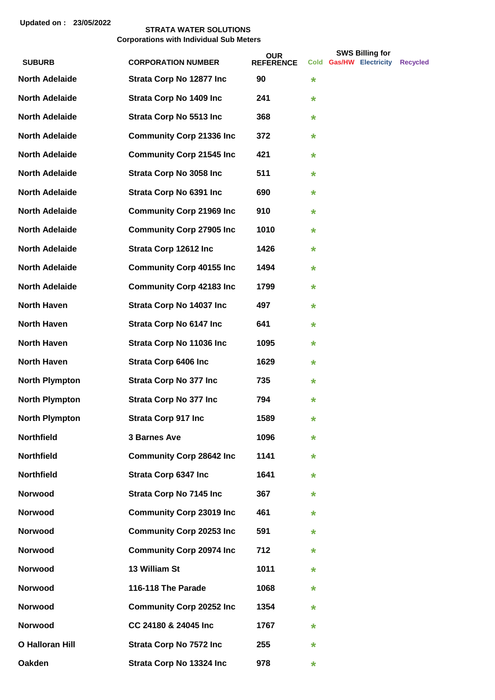|                        |                                  | <b>OUR</b>       |         | <b>SWS Billing for</b>  |                 |
|------------------------|----------------------------------|------------------|---------|-------------------------|-----------------|
| <b>SUBURB</b>          | <b>CORPORATION NUMBER</b>        | <b>REFERENCE</b> |         | Cold Gas/HW Electricity | <b>Recvcled</b> |
| <b>North Adelaide</b>  | Strata Corp No 12877 Inc         | 90               | $\star$ |                         |                 |
| <b>North Adelaide</b>  | <b>Strata Corp No 1409 Inc</b>   | 241              | *       |                         |                 |
| <b>North Adelaide</b>  | <b>Strata Corp No 5513 Inc</b>   | 368              | $\star$ |                         |                 |
| <b>North Adelaide</b>  | <b>Community Corp 21336 Inc.</b> | 372              | $\star$ |                         |                 |
| <b>North Adelaide</b>  | <b>Community Corp 21545 Inc.</b> | 421              | $\star$ |                         |                 |
| <b>North Adelaide</b>  | <b>Strata Corp No 3058 Inc.</b>  | 511              | $\star$ |                         |                 |
| <b>North Adelaide</b>  | Strata Corp No 6391 Inc          | 690              | $\ast$  |                         |                 |
| <b>North Adelaide</b>  | <b>Community Corp 21969 Inc</b>  | 910              | $\ast$  |                         |                 |
| <b>North Adelaide</b>  | <b>Community Corp 27905 Inc</b>  | 1010             | $\ast$  |                         |                 |
| <b>North Adelaide</b>  | Strata Corp 12612 Inc            | 1426             | *       |                         |                 |
| <b>North Adelaide</b>  | <b>Community Corp 40155 Inc</b>  | 1494             | $\star$ |                         |                 |
| <b>North Adelaide</b>  | <b>Community Corp 42183 Inc</b>  | 1799             | *       |                         |                 |
| <b>North Haven</b>     | Strata Corp No 14037 Inc         | 497              | $\star$ |                         |                 |
| <b>North Haven</b>     | <b>Strata Corp No 6147 Inc.</b>  | 641              | $\star$ |                         |                 |
| <b>North Haven</b>     | Strata Corp No 11036 Inc         | 1095             | $\star$ |                         |                 |
| <b>North Haven</b>     | <b>Strata Corp 6406 Inc</b>      | 1629             | $\star$ |                         |                 |
| <b>North Plympton</b>  | <b>Strata Corp No 377 Inc.</b>   | 735              | $\star$ |                         |                 |
| <b>North Plympton</b>  | <b>Strata Corp No 377 Inc.</b>   | 794              | *       |                         |                 |
| <b>North Plympton</b>  | <b>Strata Corp 917 Inc</b>       | 1589             | *       |                         |                 |
| <b>Northfield</b>      | <b>3 Barnes Ave</b>              | 1096             | *       |                         |                 |
| <b>Northfield</b>      | <b>Community Corp 28642 Inc</b>  | 1141             | *       |                         |                 |
| <b>Northfield</b>      | <b>Strata Corp 6347 Inc</b>      | 1641             | *       |                         |                 |
| <b>Norwood</b>         | <b>Strata Corp No 7145 Inc</b>   | 367              | *       |                         |                 |
| <b>Norwood</b>         | <b>Community Corp 23019 Inc</b>  | 461              | *       |                         |                 |
| Norwood                | <b>Community Corp 20253 Inc</b>  | 591              | $\star$ |                         |                 |
| Norwood                | <b>Community Corp 20974 Inc</b>  | 712              | *       |                         |                 |
| Norwood                | 13 William St                    | 1011             | *       |                         |                 |
| Norwood                | 116-118 The Parade               | 1068             | *       |                         |                 |
| Norwood                | <b>Community Corp 20252 Inc</b>  | 1354             | *       |                         |                 |
| Norwood                | CC 24180 & 24045 Inc             | 1767             | $\ast$  |                         |                 |
| <b>O Halloran Hill</b> | <b>Strata Corp No 7572 Inc</b>   | 255              | $\ast$  |                         |                 |
| <b>Oakden</b>          | Strata Corp No 13324 Inc         | 978              | $\ast$  |                         |                 |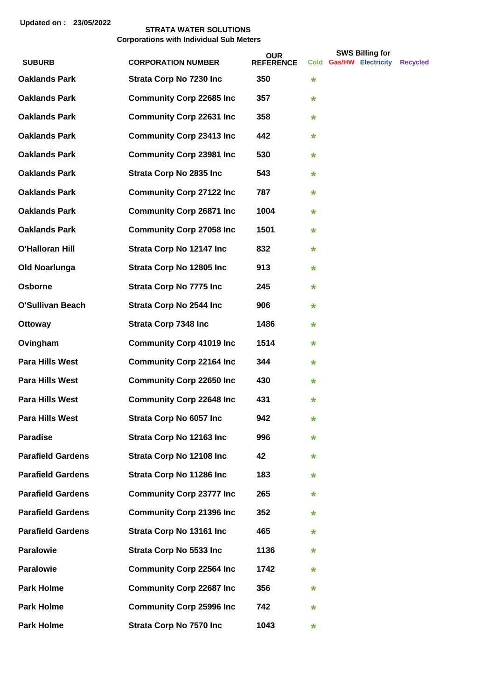|                          |                                  | <b>OUR</b>       |         | <b>SWS Billing for</b>  |          |
|--------------------------|----------------------------------|------------------|---------|-------------------------|----------|
| <b>SUBURB</b>            | <b>CORPORATION NUMBER</b>        | <b>REFERENCE</b> |         | Cold Gas/HW Electricity | Recycled |
| <b>Oaklands Park</b>     | <b>Strata Corp No 7230 Inc</b>   | 350              | *       |                         |          |
| <b>Oaklands Park</b>     | <b>Community Corp 22685 Inc</b>  | 357              | $\star$ |                         |          |
| <b>Oaklands Park</b>     | <b>Community Corp 22631 Inc.</b> | 358              | $\star$ |                         |          |
| <b>Oaklands Park</b>     | <b>Community Corp 23413 Inc</b>  | 442              | $\star$ |                         |          |
| <b>Oaklands Park</b>     | <b>Community Corp 23981 Inc</b>  | 530              | $\star$ |                         |          |
| <b>Oaklands Park</b>     | <b>Strata Corp No 2835 Inc.</b>  | 543              | $\star$ |                         |          |
| <b>Oaklands Park</b>     | <b>Community Corp 27122 Inc</b>  | 787              | $\star$ |                         |          |
| <b>Oaklands Park</b>     | <b>Community Corp 26871 Inc</b>  | 1004             | *       |                         |          |
| <b>Oaklands Park</b>     | <b>Community Corp 27058 Inc</b>  | 1501             | *       |                         |          |
| <b>O'Halloran Hill</b>   | Strata Corp No 12147 Inc         | 832              | *       |                         |          |
| <b>Old Noarlunga</b>     | Strata Corp No 12805 Inc         | 913              | $\star$ |                         |          |
| Osborne                  | <b>Strata Corp No 7775 Inc</b>   | 245              | $\star$ |                         |          |
| <b>O'Sullivan Beach</b>  | <b>Strata Corp No 2544 Inc.</b>  | 906              | $\star$ |                         |          |
| <b>Ottoway</b>           | <b>Strata Corp 7348 Inc</b>      | 1486             | $\star$ |                         |          |
| Ovingham                 | <b>Community Corp 41019 Inc</b>  | 1514             | *       |                         |          |
| <b>Para Hills West</b>   | <b>Community Corp 22164 Inc</b>  | 344              | $\star$ |                         |          |
| <b>Para Hills West</b>   | <b>Community Corp 22650 Inc</b>  | 430              | *       |                         |          |
| <b>Para Hills West</b>   | <b>Community Corp 22648 Inc</b>  | 431              | *       |                         |          |
| Para Hills West          | Strata Corp No 6057 Inc          | 942              | *       |                         |          |
| <b>Paradise</b>          | Strata Corp No 12163 Inc         | 996              | *       |                         |          |
| <b>Parafield Gardens</b> | Strata Corp No 12108 Inc         | 42               | *       |                         |          |
| <b>Parafield Gardens</b> | Strata Corp No 11286 Inc         | 183              | *       |                         |          |
| <b>Parafield Gardens</b> | <b>Community Corp 23777 Inc</b>  | 265              | *       |                         |          |
| <b>Parafield Gardens</b> | <b>Community Corp 21396 Inc</b>  | 352              | *       |                         |          |
| <b>Parafield Gardens</b> | Strata Corp No 13161 Inc         | 465              | *       |                         |          |
| <b>Paralowie</b>         | <b>Strata Corp No 5533 Inc.</b>  | 1136             | *       |                         |          |
| <b>Paralowie</b>         | <b>Community Corp 22564 Inc</b>  | 1742             | *       |                         |          |
| <b>Park Holme</b>        | <b>Community Corp 22687 Inc</b>  | 356              | *       |                         |          |
| <b>Park Holme</b>        | <b>Community Corp 25996 Inc</b>  | 742              | *       |                         |          |
| <b>Park Holme</b>        | <b>Strata Corp No 7570 Inc</b>   | 1043             | *       |                         |          |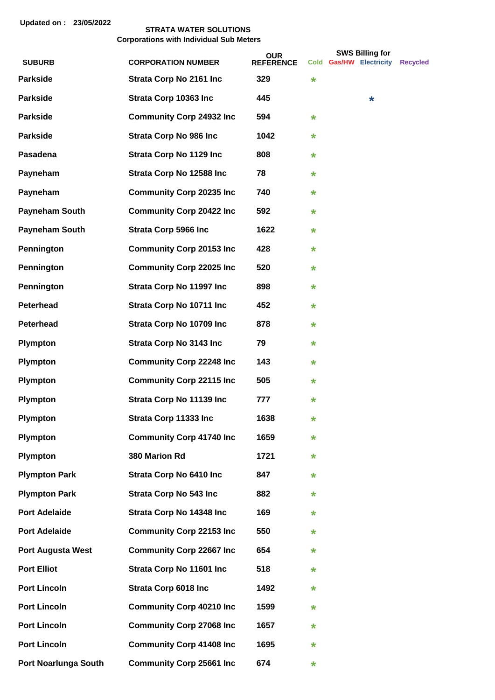|                             |                                 | <b>OUR</b>       |         | <b>SWS Billing for</b>  |                 |
|-----------------------------|---------------------------------|------------------|---------|-------------------------|-----------------|
| <b>SUBURB</b>               | <b>CORPORATION NUMBER</b>       | <b>REFERENCE</b> |         | Cold Gas/HW Electricity | <b>Recycled</b> |
| <b>Parkside</b>             | <b>Strata Corp No 2161 Inc.</b> | 329              | $\star$ |                         |                 |
| <b>Parkside</b>             | Strata Corp 10363 Inc           | 445              |         | $\star$                 |                 |
| <b>Parkside</b>             | <b>Community Corp 24932 Inc</b> | 594              | *       |                         |                 |
| <b>Parkside</b>             | <b>Strata Corp No 986 Inc.</b>  | 1042             | ¥       |                         |                 |
| Pasadena                    | <b>Strata Corp No 1129 Inc</b>  | 808              | ¥       |                         |                 |
| Payneham                    | Strata Corp No 12588 Inc        | 78               | *       |                         |                 |
| Payneham                    | <b>Community Corp 20235 Inc</b> | 740              | *       |                         |                 |
| <b>Payneham South</b>       | <b>Community Corp 20422 Inc</b> | 592              | *       |                         |                 |
| <b>Payneham South</b>       | <b>Strata Corp 5966 Inc</b>     | 1622             | *       |                         |                 |
| Pennington                  | <b>Community Corp 20153 Inc</b> | 428              | *       |                         |                 |
| Pennington                  | <b>Community Corp 22025 Inc</b> | 520              | *       |                         |                 |
| Pennington                  | <b>Strata Corp No 11997 Inc</b> | 898              | *       |                         |                 |
| <b>Peterhead</b>            | Strata Corp No 10711 Inc        | 452              | ¥       |                         |                 |
| <b>Peterhead</b>            | Strata Corp No 10709 Inc        | 878              | *       |                         |                 |
| <b>Plympton</b>             | <b>Strata Corp No 3143 Inc.</b> | 79               | *       |                         |                 |
| <b>Plympton</b>             | <b>Community Corp 22248 Inc</b> | 143              | *       |                         |                 |
| <b>Plympton</b>             | <b>Community Corp 22115 Inc</b> | 505              | *       |                         |                 |
| <b>Plympton</b>             | Strata Corp No 11139 Inc        | 777              | $\star$ |                         |                 |
| <b>Plympton</b>             | Strata Corp 11333 Inc           | 1638             | $\star$ |                         |                 |
| <b>Plympton</b>             | <b>Community Corp 41740 Inc</b> | 1659             | ¥       |                         |                 |
| <b>Plympton</b>             | 380 Marion Rd                   | 1721             | *       |                         |                 |
| <b>Plympton Park</b>        | <b>Strata Corp No 6410 Inc</b>  | 847              | *       |                         |                 |
| <b>Plympton Park</b>        | <b>Strata Corp No 543 Inc</b>   | 882              | *       |                         |                 |
| <b>Port Adelaide</b>        | Strata Corp No 14348 Inc        | 169              | *       |                         |                 |
| <b>Port Adelaide</b>        | <b>Community Corp 22153 Inc</b> | 550              | *       |                         |                 |
| <b>Port Augusta West</b>    | <b>Community Corp 22667 Inc</b> | 654              | *       |                         |                 |
| <b>Port Elliot</b>          | Strata Corp No 11601 Inc        | 518              | *       |                         |                 |
| <b>Port Lincoln</b>         | <b>Strata Corp 6018 Inc</b>     | 1492             | *       |                         |                 |
| <b>Port Lincoln</b>         | <b>Community Corp 40210 Inc</b> | 1599             | *       |                         |                 |
| <b>Port Lincoln</b>         | <b>Community Corp 27068 Inc</b> | 1657             | *       |                         |                 |
| <b>Port Lincoln</b>         | <b>Community Corp 41408 Inc</b> | 1695             | *       |                         |                 |
| <b>Port Noarlunga South</b> | <b>Community Corp 25661 Inc</b> | 674              | *       |                         |                 |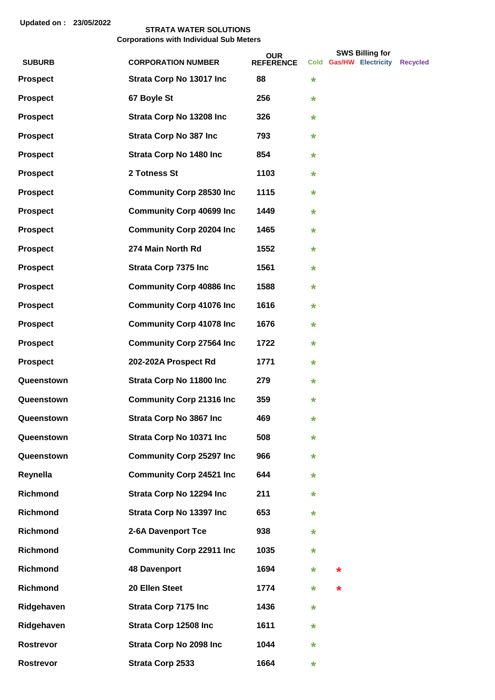|                 |                                 | <b>OUR</b>       |         |        | <b>SWS Billing for</b>  |          |
|-----------------|---------------------------------|------------------|---------|--------|-------------------------|----------|
| <b>SUBURB</b>   | <b>CORPORATION NUMBER</b>       | <b>REFERENCE</b> |         |        | Cold Gas/HW Electricity | Recycled |
| <b>Prospect</b> | Strata Corp No 13017 Inc        | 88               | $\ast$  |        |                         |          |
| <b>Prospect</b> | 67 Boyle St                     | 256              | *       |        |                         |          |
| <b>Prospect</b> | Strata Corp No 13208 Inc        | 326              | *       |        |                         |          |
| <b>Prospect</b> | <b>Strata Corp No 387 Inc</b>   | 793              | *       |        |                         |          |
| <b>Prospect</b> | <b>Strata Corp No 1480 Inc.</b> | 854              | *       |        |                         |          |
| <b>Prospect</b> | 2 Totness St                    | 1103             | *       |        |                         |          |
| <b>Prospect</b> | <b>Community Corp 28530 Inc</b> | 1115             | $\star$ |        |                         |          |
| <b>Prospect</b> | <b>Community Corp 40699 Inc</b> | 1449             | *       |        |                         |          |
| <b>Prospect</b> | <b>Community Corp 20204 Inc</b> | 1465             | *       |        |                         |          |
| <b>Prospect</b> | 274 Main North Rd               | 1552             | *       |        |                         |          |
| <b>Prospect</b> | <b>Strata Corp 7375 Inc</b>     | 1561             | *       |        |                         |          |
| <b>Prospect</b> | <b>Community Corp 40886 Inc</b> | 1588             | *       |        |                         |          |
| <b>Prospect</b> | <b>Community Corp 41076 Inc</b> | 1616             | *       |        |                         |          |
| <b>Prospect</b> | <b>Community Corp 41078 Inc</b> | 1676             | *       |        |                         |          |
| <b>Prospect</b> | <b>Community Corp 27564 Inc</b> | 1722             | *       |        |                         |          |
| <b>Prospect</b> | 202-202A Prospect Rd            | 1771             | *       |        |                         |          |
| Queenstown      | Strata Corp No 11800 Inc        | 279              | *       |        |                         |          |
| Queenstown      | <b>Community Corp 21316 Inc</b> | 359              | *       |        |                         |          |
| Queenstown      | Strata Corp No 3867 Inc         | 469              | *       |        |                         |          |
| Queenstown      | Strata Corp No 10371 Inc        | 508              | *       |        |                         |          |
| Queenstown      | <b>Community Corp 25297 Inc</b> | 966              | *       |        |                         |          |
| Reynella        | <b>Community Corp 24521 Inc</b> | 644              | *       |        |                         |          |
| <b>Richmond</b> | Strata Corp No 12294 Inc        | 211              | *       |        |                         |          |
| <b>Richmond</b> | Strata Corp No 13397 Inc        | 653              | *       |        |                         |          |
| Richmond        | 2-6A Davenport Tce              | 938              | *       |        |                         |          |
| Richmond        | <b>Community Corp 22911 Inc</b> | 1035             | *       |        |                         |          |
| <b>Richmond</b> | <b>48 Davenport</b>             | 1694             | *       | *      |                         |          |
| <b>Richmond</b> | 20 Ellen Steet                  | 1774             | *       | $\ast$ |                         |          |
| Ridgehaven      | <b>Strata Corp 7175 Inc</b>     | 1436             | *       |        |                         |          |
| Ridgehaven      | Strata Corp 12508 Inc           | 1611             | *       |        |                         |          |
| Rostrevor       | <b>Strata Corp No 2098 Inc.</b> | 1044             | *       |        |                         |          |
| Rostrevor       | Strata Corp 2533                | 1664             | *       |        |                         |          |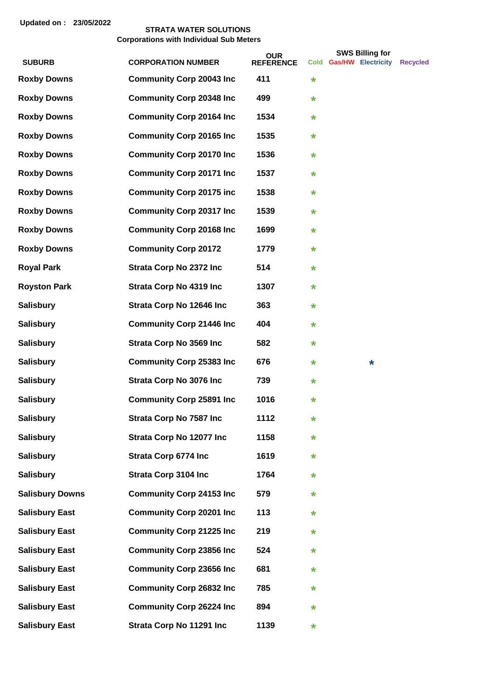|                        |                                  | <b>OUR</b>       |         | <b>SWS Billing for</b>  |                 |
|------------------------|----------------------------------|------------------|---------|-------------------------|-----------------|
| <b>SUBURB</b>          | <b>CORPORATION NUMBER</b>        | <b>REFERENCE</b> |         | Cold Gas/HW Electricity | <b>Recycled</b> |
| <b>Roxby Downs</b>     | <b>Community Corp 20043 Inc</b>  | 411              | $\star$ |                         |                 |
| <b>Roxby Downs</b>     | <b>Community Corp 20348 Inc</b>  | 499              | *       |                         |                 |
| <b>Roxby Downs</b>     | <b>Community Corp 20164 Inc.</b> | 1534             | *       |                         |                 |
| <b>Roxby Downs</b>     | <b>Community Corp 20165 Inc</b>  | 1535             | *       |                         |                 |
| <b>Roxby Downs</b>     | <b>Community Corp 20170 Inc</b>  | 1536             | *       |                         |                 |
| <b>Roxby Downs</b>     | <b>Community Corp 20171 Inc.</b> | 1537             | *       |                         |                 |
| <b>Roxby Downs</b>     | <b>Community Corp 20175 inc</b>  | 1538             | *       |                         |                 |
| <b>Roxby Downs</b>     | <b>Community Corp 20317 Inc</b>  | 1539             | *       |                         |                 |
| <b>Roxby Downs</b>     | <b>Community Corp 20168 Inc</b>  | 1699             | *       |                         |                 |
| <b>Roxby Downs</b>     | <b>Community Corp 20172</b>      | 1779             | *       |                         |                 |
| <b>Royal Park</b>      | <b>Strata Corp No 2372 Inc</b>   | 514              | *       |                         |                 |
| <b>Royston Park</b>    | <b>Strata Corp No 4319 Inc</b>   | 1307             | *       |                         |                 |
| <b>Salisbury</b>       | Strata Corp No 12646 Inc         | 363              | *       |                         |                 |
| <b>Salisbury</b>       | <b>Community Corp 21446 Inc</b>  | 404              | *       |                         |                 |
| <b>Salisbury</b>       | <b>Strata Corp No 3569 Inc</b>   | 582              | *       |                         |                 |
| <b>Salisbury</b>       | <b>Community Corp 25383 Inc.</b> | 676              | *       | *                       |                 |
| <b>Salisbury</b>       | <b>Strata Corp No 3076 Inc</b>   | 739              | *       |                         |                 |
| <b>Salisbury</b>       | <b>Community Corp 25891 Inc</b>  | 1016             | *       |                         |                 |
| Salisbury              | <b>Strata Corp No 7587 Inc</b>   | 1112             | *       |                         |                 |
| <b>Salisbury</b>       | Strata Corp No 12077 Inc         | 1158             | *       |                         |                 |
| <b>Salisbury</b>       | <b>Strata Corp 6774 Inc</b>      | 1619             | *       |                         |                 |
| <b>Salisbury</b>       | <b>Strata Corp 3104 Inc</b>      | 1764             | *       |                         |                 |
| <b>Salisbury Downs</b> | <b>Community Corp 24153 Inc</b>  | 579              | *       |                         |                 |
| <b>Salisbury East</b>  | <b>Community Corp 20201 Inc</b>  | 113              | *       |                         |                 |
| <b>Salisbury East</b>  | <b>Community Corp 21225 Inc</b>  | 219              | *       |                         |                 |
| <b>Salisbury East</b>  | <b>Community Corp 23856 Inc.</b> | 524              | *       |                         |                 |
| <b>Salisbury East</b>  | <b>Community Corp 23656 Inc</b>  | 681              | *       |                         |                 |
| <b>Salisbury East</b>  | <b>Community Corp 26832 Inc</b>  | 785              | *       |                         |                 |
| <b>Salisbury East</b>  | <b>Community Corp 26224 Inc</b>  | 894              | *       |                         |                 |
| <b>Salisbury East</b>  | Strata Corp No 11291 Inc         | 1139             | *       |                         |                 |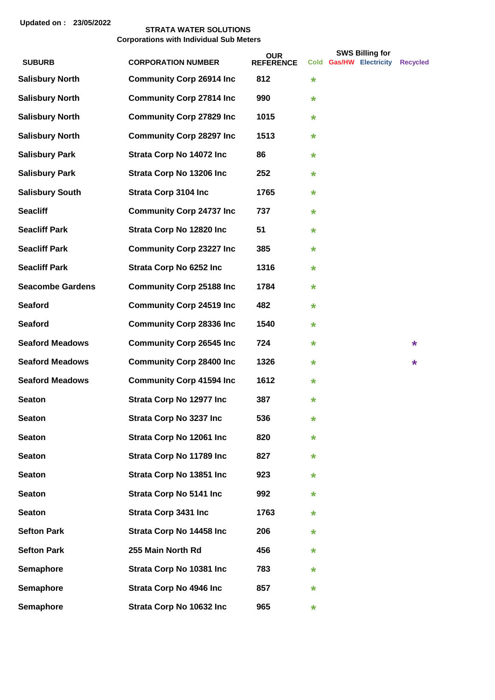|                         |                                  | <b>OUR</b>       |         | <b>SWS Billing for</b>  |                 |
|-------------------------|----------------------------------|------------------|---------|-------------------------|-----------------|
| <b>SUBURB</b>           | <b>CORPORATION NUMBER</b>        | <b>REFERENCE</b> |         | Cold Gas/HW Electricity | <b>Recycled</b> |
| <b>Salisbury North</b>  | <b>Community Corp 26914 Inc</b>  | 812              | *       |                         |                 |
| <b>Salisbury North</b>  | <b>Community Corp 27814 Inc</b>  | 990              | *       |                         |                 |
| <b>Salisbury North</b>  | <b>Community Corp 27829 Inc</b>  | 1015             | *       |                         |                 |
| <b>Salisbury North</b>  | <b>Community Corp 28297 Inc</b>  | 1513             | *       |                         |                 |
| <b>Salisbury Park</b>   | Strata Corp No 14072 Inc         | 86               | $\star$ |                         |                 |
| <b>Salisbury Park</b>   | Strata Corp No 13206 Inc         | 252              | *       |                         |                 |
| <b>Salisbury South</b>  | <b>Strata Corp 3104 Inc</b>      | 1765             | *       |                         |                 |
| <b>Seacliff</b>         | <b>Community Corp 24737 Inc</b>  | 737              | *       |                         |                 |
| <b>Seacliff Park</b>    | Strata Corp No 12820 Inc         | 51               | $\star$ |                         |                 |
| <b>Seacliff Park</b>    | <b>Community Corp 23227 Inc.</b> | 385              | *       |                         |                 |
| <b>Seacliff Park</b>    | Strata Corp No 6252 Inc          | 1316             | *       |                         |                 |
| <b>Seacombe Gardens</b> | <b>Community Corp 25188 Inc</b>  | 1784             | *       |                         |                 |
| <b>Seaford</b>          | <b>Community Corp 24519 Inc.</b> | 482              | *       |                         |                 |
| <b>Seaford</b>          | <b>Community Corp 28336 Inc</b>  | 1540             | $\star$ |                         |                 |
| <b>Seaford Meadows</b>  | <b>Community Corp 26545 Inc.</b> | 724              | *       |                         | *               |
| <b>Seaford Meadows</b>  | <b>Community Corp 28400 Inc</b>  | 1326             | *       |                         | *               |
| <b>Seaford Meadows</b>  | <b>Community Corp 41594 Inc</b>  | 1612             | *       |                         |                 |
| <b>Seaton</b>           | Strata Corp No 12977 Inc         | 387              | *       |                         |                 |
| <b>Seaton</b>           | <b>Strata Corp No 3237 Inc.</b>  | 536              | *       |                         |                 |
| <b>Seaton</b>           | Strata Corp No 12061 Inc         | 820              | *       |                         |                 |
| <b>Seaton</b>           | Strata Corp No 11789 Inc         | 827              | *       |                         |                 |
| <b>Seaton</b>           | Strata Corp No 13851 Inc         | 923              | *       |                         |                 |
| <b>Seaton</b>           | <b>Strata Corp No 5141 Inc.</b>  | 992              | *       |                         |                 |
| <b>Seaton</b>           | <b>Strata Corp 3431 Inc</b>      | 1763             | *       |                         |                 |
| <b>Sefton Park</b>      | Strata Corp No 14458 Inc         | 206              | *       |                         |                 |
| <b>Sefton Park</b>      | 255 Main North Rd                | 456              | *       |                         |                 |
| Semaphore               | Strata Corp No 10381 Inc         | 783              | *       |                         |                 |
| Semaphore               | <b>Strata Corp No 4946 Inc.</b>  | 857              | *       |                         |                 |
| Semaphore               | Strata Corp No 10632 Inc         | 965              | *       |                         |                 |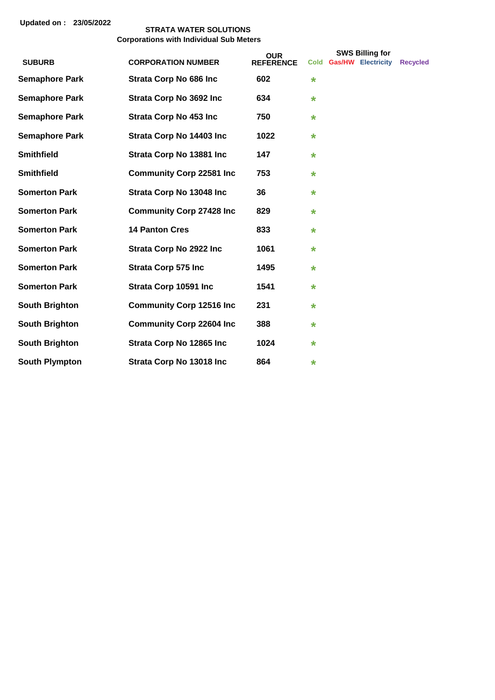|                       |                                  | <b>OUR</b>       | <b>SWS Billing for</b> |  |                           |                 |
|-----------------------|----------------------------------|------------------|------------------------|--|---------------------------|-----------------|
| <b>SUBURB</b>         | <b>CORPORATION NUMBER</b>        | <b>REFERENCE</b> | <b>Cold</b>            |  | <b>Gas/HW Electricity</b> | <b>Recycled</b> |
| <b>Semaphore Park</b> | <b>Strata Corp No 686 Inc.</b>   | 602              | $\star$                |  |                           |                 |
| <b>Semaphore Park</b> | <b>Strata Corp No 3692 Inc</b>   | 634              | $\star$                |  |                           |                 |
| <b>Semaphore Park</b> | <b>Strata Corp No 453 Inc.</b>   | 750              | $\star$                |  |                           |                 |
| <b>Semaphore Park</b> | Strata Corp No 14403 Inc         | 1022             | $\star$                |  |                           |                 |
| <b>Smithfield</b>     | Strata Corp No 13881 Inc         | 147              | $\star$                |  |                           |                 |
| <b>Smithfield</b>     | <b>Community Corp 22581 Inc</b>  | 753              | $\star$                |  |                           |                 |
| <b>Somerton Park</b>  | Strata Corp No 13048 Inc         | 36               | $\star$                |  |                           |                 |
| <b>Somerton Park</b>  | <b>Community Corp 27428 Inc.</b> | 829              | $\star$                |  |                           |                 |
| <b>Somerton Park</b>  | <b>14 Panton Cres</b>            | 833              | $\star$                |  |                           |                 |
| <b>Somerton Park</b>  | <b>Strata Corp No 2922 Inc</b>   | 1061             | $\star$                |  |                           |                 |
| <b>Somerton Park</b>  | <b>Strata Corp 575 Inc</b>       | 1495             | $\star$                |  |                           |                 |
| <b>Somerton Park</b>  | Strata Corp 10591 Inc            | 1541             | $\star$                |  |                           |                 |
| <b>South Brighton</b> | <b>Community Corp 12516 Inc</b>  | 231              | $\star$                |  |                           |                 |
| <b>South Brighton</b> | <b>Community Corp 22604 Inc.</b> | 388              | $\star$                |  |                           |                 |
| <b>South Brighton</b> | Strata Corp No 12865 Inc         | 1024             | $\star$                |  |                           |                 |
| <b>South Plympton</b> | Strata Corp No 13018 Inc         | 864              | $\star$                |  |                           |                 |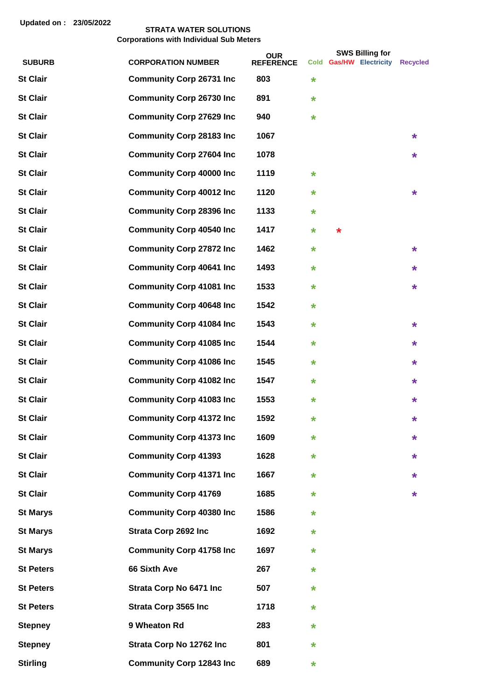|                  |                                  | <b>OUR</b>       |         |   | <b>SWS Billing for</b>  |                 |
|------------------|----------------------------------|------------------|---------|---|-------------------------|-----------------|
| <b>SUBURB</b>    | <b>CORPORATION NUMBER</b>        | <b>REFERENCE</b> |         |   | Cold Gas/HW Electricity | <b>Recycled</b> |
| <b>St Clair</b>  | <b>Community Corp 26731 Inc</b>  | 803              | *       |   |                         |                 |
| <b>St Clair</b>  | <b>Community Corp 26730 Inc</b>  | 891              | $\star$ |   |                         |                 |
| <b>St Clair</b>  | <b>Community Corp 27629 Inc</b>  | 940              | $\star$ |   |                         |                 |
| <b>St Clair</b>  | <b>Community Corp 28183 Inc</b>  | 1067             |         |   |                         | $\star$         |
| <b>St Clair</b>  | <b>Community Corp 27604 Inc</b>  | 1078             |         |   |                         | $\star$         |
| <b>St Clair</b>  | <b>Community Corp 40000 Inc</b>  | 1119             | $\star$ |   |                         |                 |
| <b>St Clair</b>  | <b>Community Corp 40012 Inc</b>  | 1120             | *       |   |                         | $\ast$          |
| <b>St Clair</b>  | <b>Community Corp 28396 Inc</b>  | 1133             | *       |   |                         |                 |
| <b>St Clair</b>  | <b>Community Corp 40540 Inc</b>  | 1417             | *       | * |                         |                 |
| <b>St Clair</b>  | <b>Community Corp 27872 Inc</b>  | 1462             | *       |   |                         | $\star$         |
| <b>St Clair</b>  | <b>Community Corp 40641 Inc</b>  | 1493             | $\star$ |   |                         | *               |
| <b>St Clair</b>  | <b>Community Corp 41081 Inc</b>  | 1533             | *       |   |                         | $\star$         |
| <b>St Clair</b>  | <b>Community Corp 40648 Inc</b>  | 1542             | *       |   |                         |                 |
| <b>St Clair</b>  | <b>Community Corp 41084 Inc</b>  | 1543             | *       |   |                         | $\star$         |
| <b>St Clair</b>  | <b>Community Corp 41085 Inc</b>  | 1544             | *       |   |                         | *               |
| <b>St Clair</b>  | <b>Community Corp 41086 Inc</b>  | 1545             | *       |   |                         | $\star$         |
| <b>St Clair</b>  | <b>Community Corp 41082 Inc</b>  | 1547             | *       |   |                         | $\star$         |
| <b>St Clair</b>  | <b>Community Corp 41083 Inc</b>  | 1553             | *       |   |                         | $\star$         |
| <b>St Clair</b>  | <b>Community Corp 41372 Inc.</b> | 1592             | *       |   |                         | *               |
| <b>St Clair</b>  | <b>Community Corp 41373 Inc</b>  | 1609             | *       |   |                         | *               |
| <b>St Clair</b>  | <b>Community Corp 41393</b>      | 1628             | *       |   |                         | *               |
| <b>St Clair</b>  | <b>Community Corp 41371 Inc</b>  | 1667             | *       |   |                         | *               |
| <b>St Clair</b>  | <b>Community Corp 41769</b>      | 1685             | *       |   |                         | $\star$         |
| <b>St Marys</b>  | <b>Community Corp 40380 Inc</b>  | 1586             | *       |   |                         |                 |
| <b>St Marys</b>  | <b>Strata Corp 2692 Inc</b>      | 1692             | *       |   |                         |                 |
| <b>St Marys</b>  | <b>Community Corp 41758 Inc</b>  | 1697             | *       |   |                         |                 |
| <b>St Peters</b> | 66 Sixth Ave                     | 267              | *       |   |                         |                 |
| <b>St Peters</b> | <b>Strata Corp No 6471 Inc</b>   | 507              | *       |   |                         |                 |
| <b>St Peters</b> | <b>Strata Corp 3565 Inc</b>      | 1718             | *       |   |                         |                 |
| <b>Stepney</b>   | 9 Wheaton Rd                     | 283              | *       |   |                         |                 |
| <b>Stepney</b>   | Strata Corp No 12762 Inc         | 801              | *       |   |                         |                 |
| <b>Stirling</b>  | <b>Community Corp 12843 Inc</b>  | 689              | *       |   |                         |                 |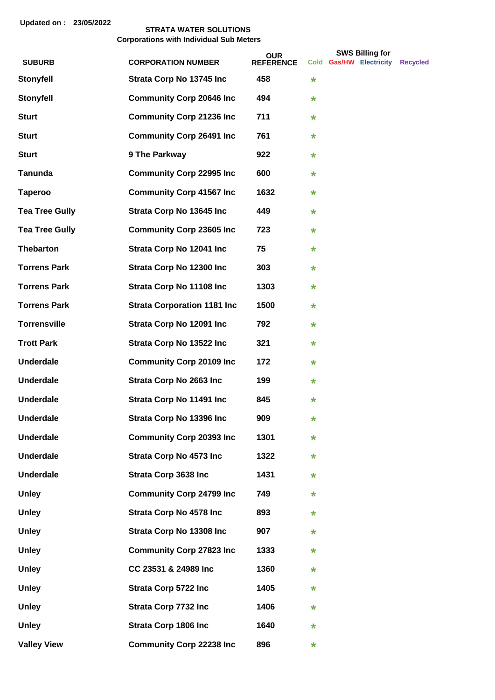|                       |                                    | <b>OUR</b>       |         | <b>SWS Billing for</b>  |                 |
|-----------------------|------------------------------------|------------------|---------|-------------------------|-----------------|
| <b>SUBURB</b>         | <b>CORPORATION NUMBER</b>          | <b>REFERENCE</b> |         | Cold Gas/HW Electricity | <b>Recycled</b> |
| <b>Stonyfell</b>      | Strata Corp No 13745 Inc           | 458              | $\star$ |                         |                 |
| <b>Stonyfell</b>      | <b>Community Corp 20646 Inc.</b>   | 494              | $\star$ |                         |                 |
| <b>Sturt</b>          | <b>Community Corp 21236 Inc</b>    | 711              | $\ast$  |                         |                 |
| <b>Sturt</b>          | <b>Community Corp 26491 Inc</b>    | 761              | $\ast$  |                         |                 |
| <b>Sturt</b>          | 9 The Parkway                      | 922              | $\ast$  |                         |                 |
| <b>Tanunda</b>        | <b>Community Corp 22995 Inc</b>    | 600              | $\ast$  |                         |                 |
| <b>Taperoo</b>        | <b>Community Corp 41567 Inc.</b>   | 1632             | $\ast$  |                         |                 |
| <b>Tea Tree Gully</b> | Strata Corp No 13645 Inc           | 449              | $\ast$  |                         |                 |
| <b>Tea Tree Gully</b> | <b>Community Corp 23605 Inc.</b>   | 723              | $\ast$  |                         |                 |
| <b>Thebarton</b>      | Strata Corp No 12041 Inc           | 75               | $\star$ |                         |                 |
| <b>Torrens Park</b>   | Strata Corp No 12300 Inc           | 303              | $\star$ |                         |                 |
| <b>Torrens Park</b>   | Strata Corp No 11108 Inc           | 1303             | $\ast$  |                         |                 |
| <b>Torrens Park</b>   | <b>Strata Corporation 1181 Inc</b> | 1500             | $\ast$  |                         |                 |
| <b>Torrensville</b>   | Strata Corp No 12091 Inc           | 792              | $\ast$  |                         |                 |
| <b>Trott Park</b>     | Strata Corp No 13522 Inc           | 321              | $\ast$  |                         |                 |
| <b>Underdale</b>      | <b>Community Corp 20109 Inc</b>    | 172              | $\ast$  |                         |                 |
| <b>Underdale</b>      | Strata Corp No 2663 Inc            | 199              | $\ast$  |                         |                 |
| <b>Underdale</b>      | Strata Corp No 11491 Inc           | 845              | $\ast$  |                         |                 |
| <b>Underdale</b>      | Strata Corp No 13396 Inc           | 909              | $\star$ |                         |                 |
| <b>Underdale</b>      | <b>Community Corp 20393 Inc</b>    | 1301             | $\star$ |                         |                 |
| <b>Underdale</b>      | <b>Strata Corp No 4573 Inc.</b>    | 1322             | *       |                         |                 |
| <b>Underdale</b>      | <b>Strata Corp 3638 Inc</b>        | 1431             | *       |                         |                 |
| <b>Unley</b>          | <b>Community Corp 24799 Inc</b>    | 749              | $\ast$  |                         |                 |
| <b>Unley</b>          | <b>Strata Corp No 4578 Inc.</b>    | 893              | $\ast$  |                         |                 |
| <b>Unley</b>          | Strata Corp No 13308 Inc           | 907              | $\ast$  |                         |                 |
| <b>Unley</b>          | <b>Community Corp 27823 Inc</b>    | 1333             | *       |                         |                 |
| <b>Unley</b>          | CC 23531 & 24989 Inc               | 1360             | $\star$ |                         |                 |
| <b>Unley</b>          | <b>Strata Corp 5722 Inc</b>        | 1405             | $\ast$  |                         |                 |
| <b>Unley</b>          | <b>Strata Corp 7732 Inc</b>        | 1406             | $\ast$  |                         |                 |
| <b>Unley</b>          | <b>Strata Corp 1806 Inc</b>        | 1640             | *       |                         |                 |
| <b>Valley View</b>    | <b>Community Corp 22238 Inc</b>    | 896              | $\ast$  |                         |                 |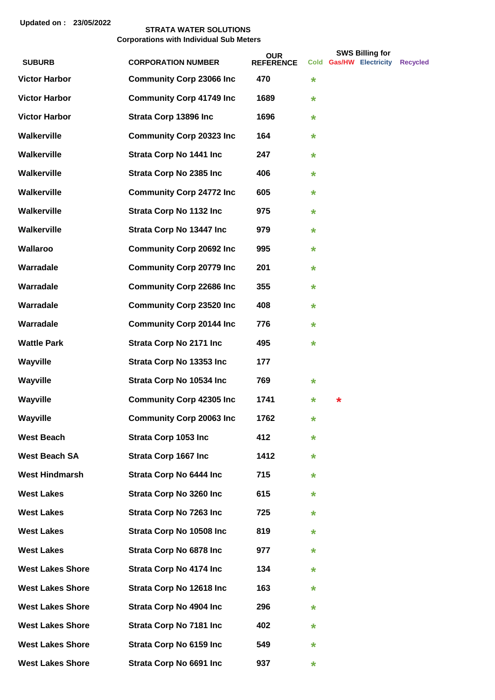|                         |                                  | <b>OUR</b>       |         |        | <b>SWS Billing for</b>  |                 |
|-------------------------|----------------------------------|------------------|---------|--------|-------------------------|-----------------|
| <b>SUBURB</b>           | <b>CORPORATION NUMBER</b>        | <b>REFERENCE</b> |         |        | Cold Gas/HW Electricity | <b>Recvcled</b> |
| <b>Victor Harbor</b>    | <b>Community Corp 23066 Inc</b>  | 470              | *       |        |                         |                 |
| <b>Victor Harbor</b>    | <b>Community Corp 41749 Inc</b>  | 1689             | $\star$ |        |                         |                 |
| <b>Victor Harbor</b>    | Strata Corp 13896 Inc            | 1696             | $\star$ |        |                         |                 |
| Walkerville             | <b>Community Corp 20323 Inc</b>  | 164              | $\star$ |        |                         |                 |
| Walkerville             | <b>Strata Corp No 1441 Inc.</b>  | 247              | *       |        |                         |                 |
| <b>Walkerville</b>      | <b>Strata Corp No 2385 Inc</b>   | 406              | *       |        |                         |                 |
| <b>Walkerville</b>      | <b>Community Corp 24772 Inc</b>  | 605              | *       |        |                         |                 |
| Walkerville             | <b>Strata Corp No 1132 Inc</b>   | 975              | *       |        |                         |                 |
| Walkerville             | Strata Corp No 13447 Inc         | 979              | *       |        |                         |                 |
| Wallaroo                | <b>Community Corp 20692 Inc.</b> | 995              | *       |        |                         |                 |
| Warradale               | <b>Community Corp 20779 Inc</b>  | 201              | $\star$ |        |                         |                 |
| Warradale               | <b>Community Corp 22686 Inc</b>  | 355              | $\star$ |        |                         |                 |
| Warradale               | <b>Community Corp 23520 Inc</b>  | 408              | $\star$ |        |                         |                 |
| Warradale               | <b>Community Corp 20144 Inc</b>  | 776              | *       |        |                         |                 |
| <b>Wattle Park</b>      | <b>Strata Corp No 2171 Inc.</b>  | 495              | *       |        |                         |                 |
| Wayville                | Strata Corp No 13353 Inc         | 177              |         |        |                         |                 |
| Wayville                | Strata Corp No 10534 Inc         | 769              | *       |        |                         |                 |
| Wayville                | <b>Community Corp 42305 Inc</b>  | 1741             | *       | $\ast$ |                         |                 |
| Wayville                | <b>Community Corp 20063 Inc</b>  | 1762             | *       |        |                         |                 |
| <b>West Beach</b>       | <b>Strata Corp 1053 Inc</b>      | 412              | *       |        |                         |                 |
| <b>West Beach SA</b>    | <b>Strata Corp 1667 Inc</b>      | 1412             | *       |        |                         |                 |
| <b>West Hindmarsh</b>   | <b>Strata Corp No 6444 Inc.</b>  | 715              | *       |        |                         |                 |
| <b>West Lakes</b>       | <b>Strata Corp No 3260 Inc</b>   | 615              | *       |        |                         |                 |
| <b>West Lakes</b>       | <b>Strata Corp No 7263 Inc.</b>  | 725              | *       |        |                         |                 |
| <b>West Lakes</b>       | Strata Corp No 10508 Inc         | 819              | *       |        |                         |                 |
| <b>West Lakes</b>       | <b>Strata Corp No 6878 Inc.</b>  | 977              | *       |        |                         |                 |
| <b>West Lakes Shore</b> | <b>Strata Corp No 4174 Inc.</b>  | 134              | *       |        |                         |                 |
| <b>West Lakes Shore</b> | Strata Corp No 12618 Inc         | 163              | *       |        |                         |                 |
| <b>West Lakes Shore</b> | <b>Strata Corp No 4904 Inc.</b>  | 296              | *       |        |                         |                 |
| <b>West Lakes Shore</b> | <b>Strata Corp No 7181 Inc.</b>  | 402              | *       |        |                         |                 |
| <b>West Lakes Shore</b> | <b>Strata Corp No 6159 Inc.</b>  | 549              | *       |        |                         |                 |
| <b>West Lakes Shore</b> | Strata Corp No 6691 Inc          | 937              | *       |        |                         |                 |